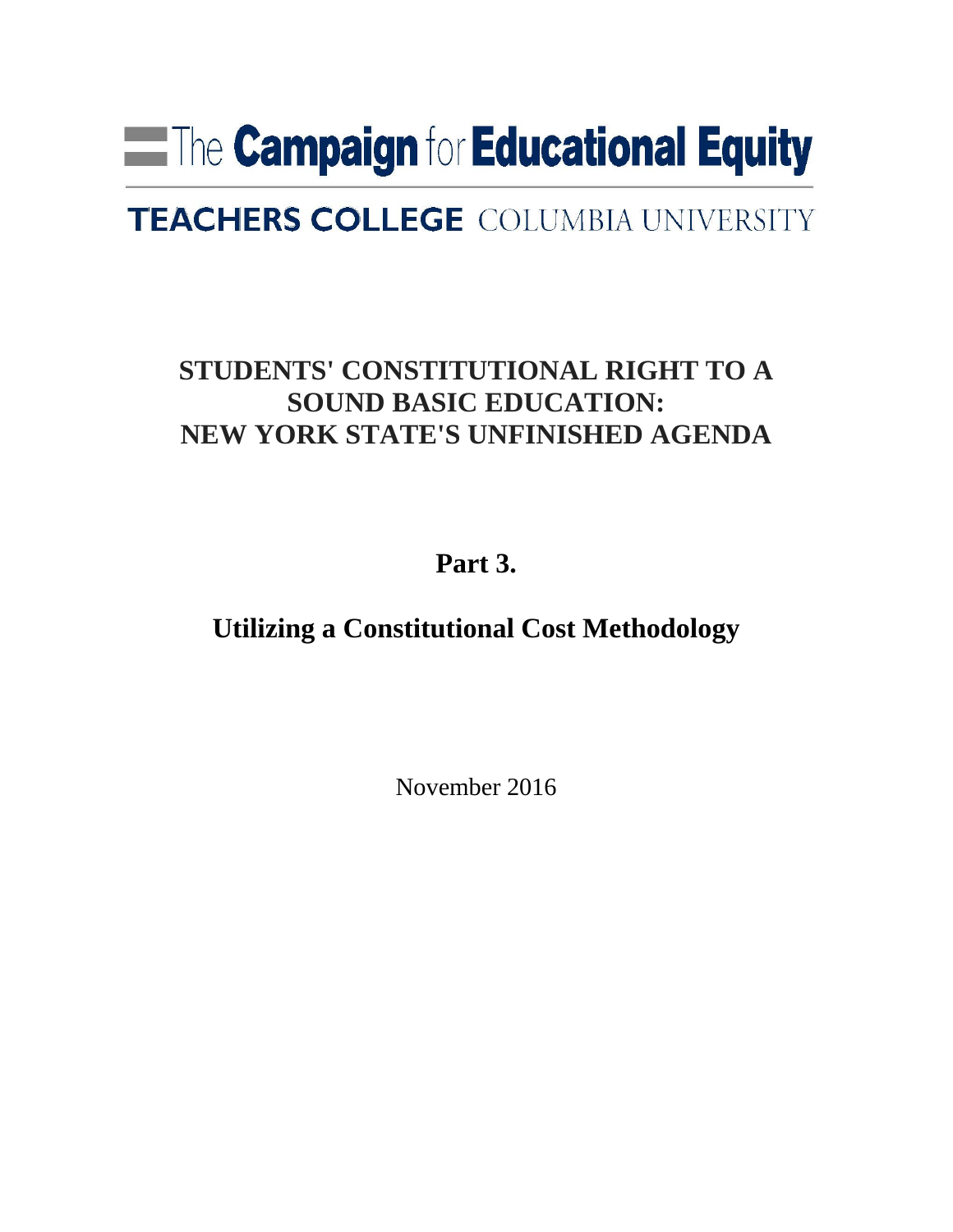# **Example 1 Figure 1 Figure 2 Figure 1 Figure 1 Figure 1 Figure 1 Figure 1 Figure 1 Figure 1 Figure 1 Figure 1 Figure 1 Figure 1 Figure 1 Figure 1 Figure 1 Figure 1 Figure 1 Figure 1 Figure 1 Figure 1 Figure 1 Figure 1 Figu**

# **TEACHERS COLLEGE COLUMBIA UNIVERSITY**

# **STUDENTS' CONSTITUTIONAL RIGHT TO A SOUND BASIC EDUCATION: NEW YORK STATE'S UNFINISHED AGENDA**

**Part 3.** 

**Utilizing a Constitutional Cost Methodology**

November 2016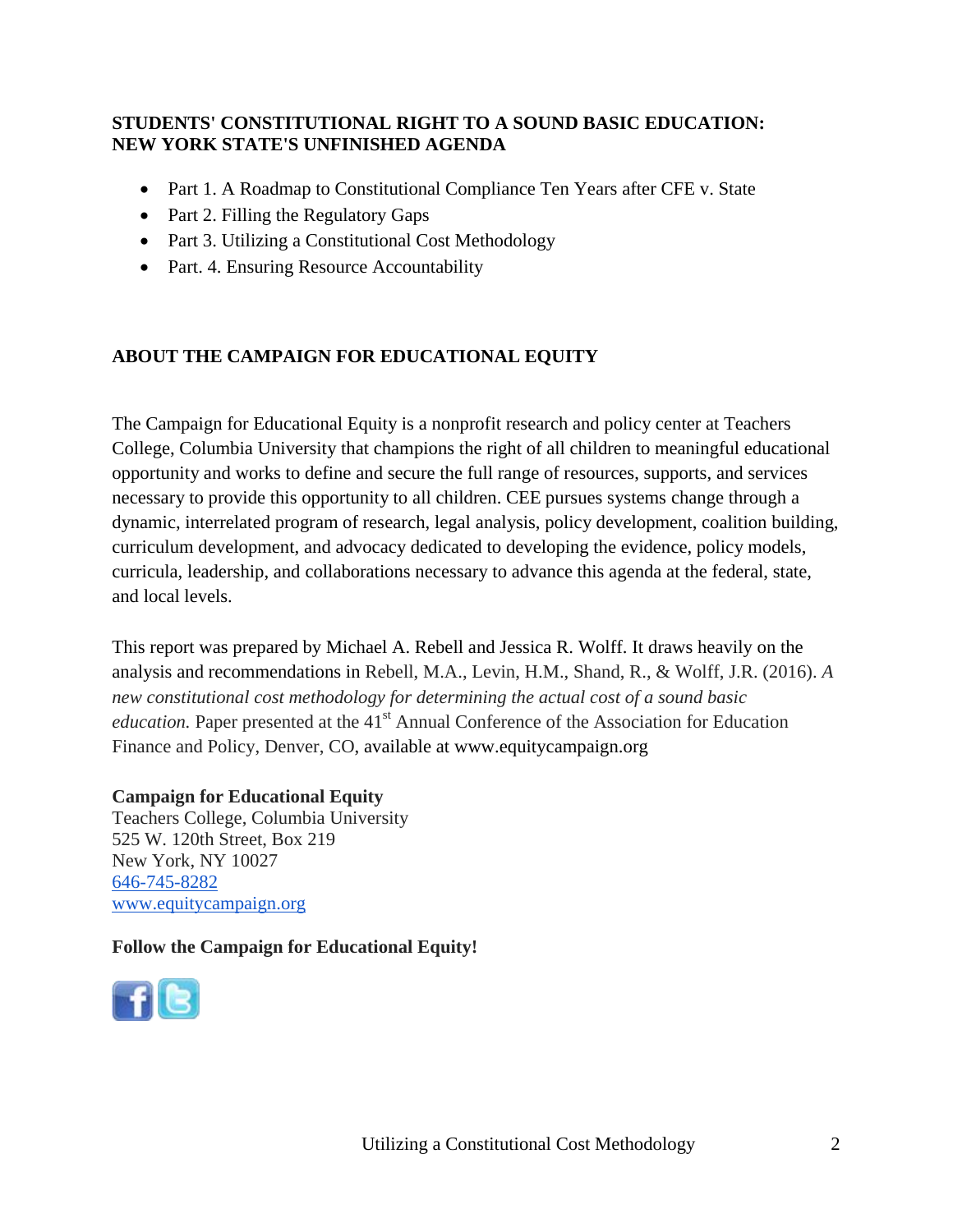## **STUDENTS' CONSTITUTIONAL RIGHT TO A SOUND BASIC EDUCATION: NEW YORK STATE'S UNFINISHED AGENDA**

- Part 1. A Roadmap to Constitutional Compliance Ten Years after CFE v. State
- Part 2. Filling the Regulatory Gaps
- Part 3. Utilizing a Constitutional Cost Methodology
- Part. 4. Ensuring Resource Accountability

# **ABOUT THE CAMPAIGN FOR EDUCATIONAL EQUITY**

The Campaign for Educational Equity is a nonprofit research and policy center at Teachers College, Columbia University that champions the right of all children to meaningful educational opportunity and works to define and secure the full range of resources, supports, and services necessary to provide this opportunity to all children. CEE pursues systems change through a dynamic, interrelated program of research, legal analysis, policy development, coalition building, curriculum development, and advocacy dedicated to developing the evidence, policy models, curricula, leadership, and collaborations necessary to advance this agenda at the federal, state, and local levels.

This report was prepared by Michael A. Rebell and Jessica R. Wolff. It draws heavily on the analysis and recommendations in Rebell, M.A., Levin, H.M., Shand, R., & Wolff, J.R. (2016). *A new constitutional cost methodology for determining the actual cost of a sound basic education*. Paper presented at the 41<sup>st</sup> Annual Conference of the Association for Education Finance and Policy, Denver, CO, available at [www.equitycampaign.org](http://www.equitycampaign.org/)

# **Campaign for Educational Equity**

Teachers College, Columbia University 525 W. 120th Street, Box 219 New York, NY 10027 646-745-8282 [www.equitycampaign.org](http://www.equitycampaign.org/)

# **Follow the Campaign for Educational Equity!**

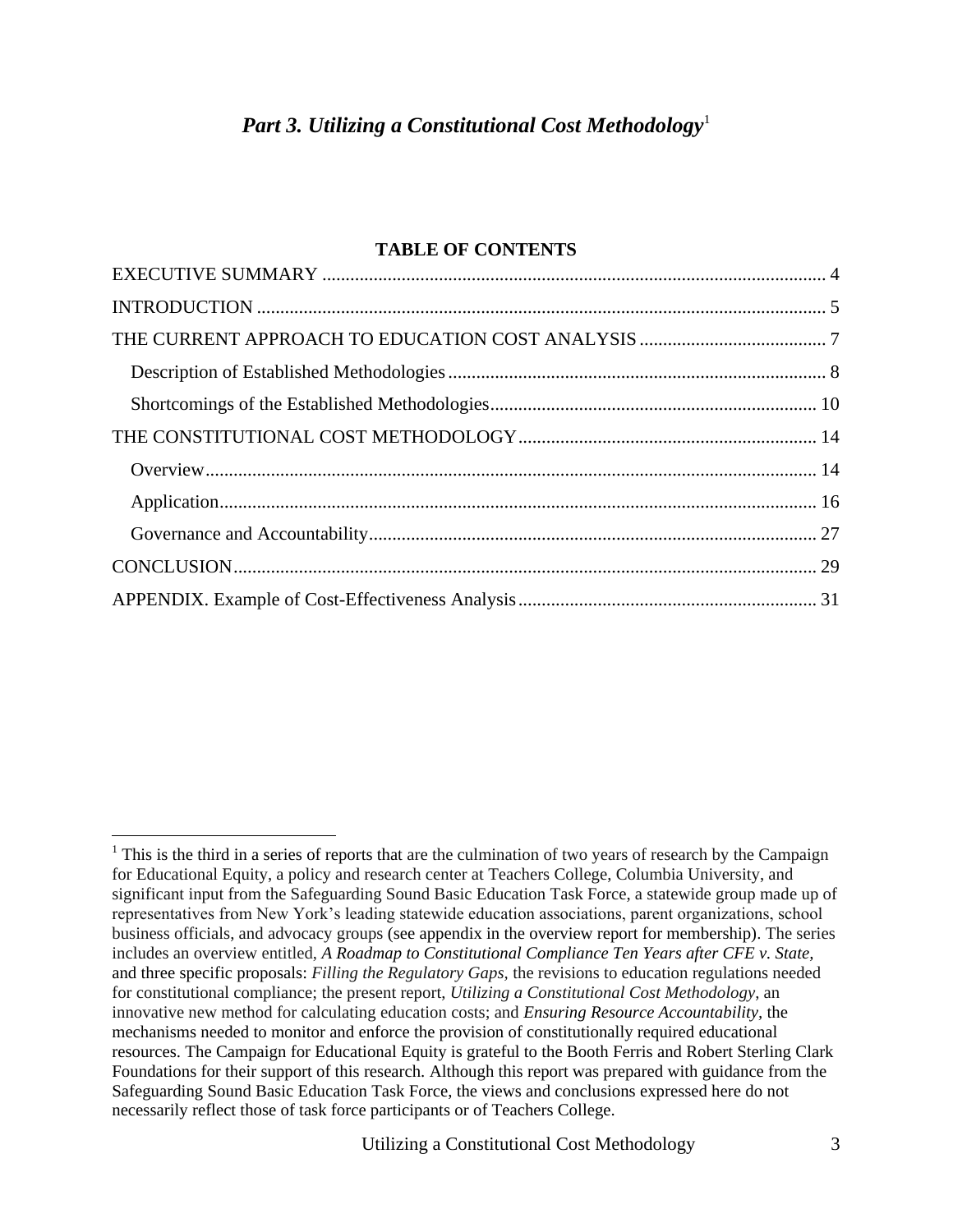# **TABLE OF CONTENTS**

<sup>&</sup>lt;sup>1</sup> This is the third in a series of reports that are the culmination of two years of research by the Campaign for Educational Equity, a policy and research center at Teachers College, Columbia University, and significant input from the Safeguarding Sound Basic Education Task Force, a statewide group made up of representatives from New York's leading statewide education associations, parent organizations, school business officials, and advocacy groups (see appendix in the overview report for membership). The series includes an overview entitled, *A Roadmap to Constitutional Compliance Ten Years after CFE v. State,*  and three specific proposals: *Filling the Regulatory Gaps,* the revisions to education regulations needed for constitutional compliance; the present report, *Utilizing a Constitutional Cost Methodology*, an innovative new method for calculating education costs; and *Ensuring Resource Accountability,* the mechanisms needed to monitor and enforce the provision of constitutionally required educational resources. The Campaign for Educational Equity is grateful to the Booth Ferris and Robert Sterling Clark Foundations for their support of this research. Although this report was prepared with guidance from the Safeguarding Sound Basic Education Task Force, the views and conclusions expressed here do not necessarily reflect those of task force participants or of Teachers College.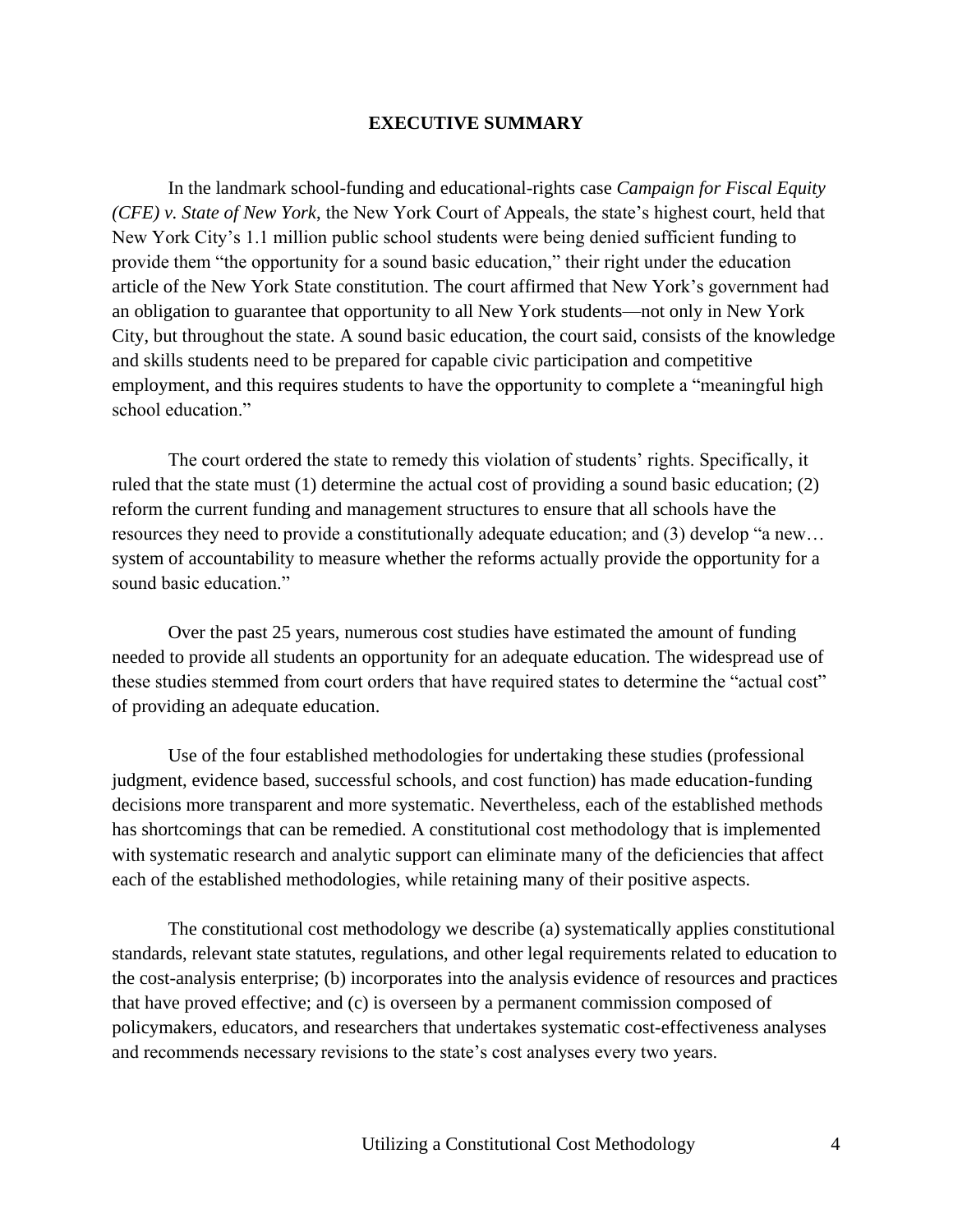#### **EXECUTIVE SUMMARY**

In the landmark school-funding and educational-rights case *Campaign for Fiscal Equity (CFE) v. State of New York*, the New York Court of Appeals, the state's highest court, held that New York City's 1.1 million public school students were being denied sufficient funding to provide them "the opportunity for a sound basic education," their right under the education article of the New York State constitution. The court affirmed that New York's government had an obligation to guarantee that opportunity to all New York students—not only in New York City, but throughout the state. A sound basic education, the court said, consists of the knowledge and skills students need to be prepared for capable civic participation and competitive employment, and this requires students to have the opportunity to complete a "meaningful high school education."

The court ordered the state to remedy this violation of students' rights. Specifically, it ruled that the state must (1) determine the actual cost of providing a sound basic education; (2) reform the current funding and management structures to ensure that all schools have the resources they need to provide a constitutionally adequate education; and (3) develop "a new… system of accountability to measure whether the reforms actually provide the opportunity for a sound basic education."

Over the past 25 years, numerous cost studies have estimated the amount of funding needed to provide all students an opportunity for an adequate education. The widespread use of these studies stemmed from court orders that have required states to determine the "actual cost" of providing an adequate education.

Use of the four established methodologies for undertaking these studies (professional judgment, evidence based, successful schools, and cost function) has made education-funding decisions more transparent and more systematic. Nevertheless, each of the established methods has shortcomings that can be remedied. A constitutional cost methodology that is implemented with systematic research and analytic support can eliminate many of the deficiencies that affect each of the established methodologies, while retaining many of their positive aspects.

The constitutional cost methodology we describe (a) systematically applies constitutional standards, relevant state statutes, regulations, and other legal requirements related to education to the cost-analysis enterprise; (b) incorporates into the analysis evidence of resources and practices that have proved effective; and (c) is overseen by a permanent commission composed of policymakers, educators, and researchers that undertakes systematic cost-effectiveness analyses and recommends necessary revisions to the state's cost analyses every two years.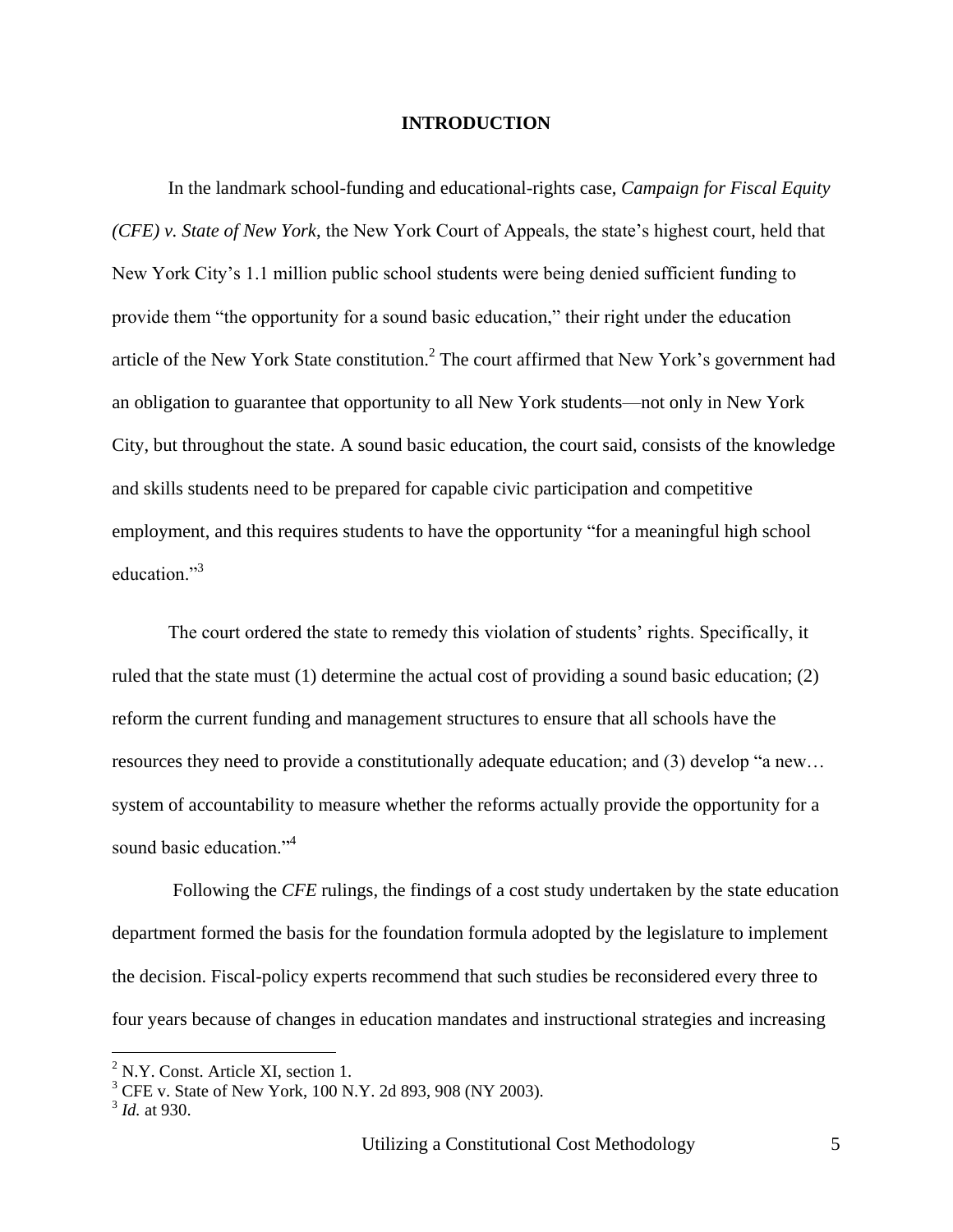#### **INTRODUCTION**

In the landmark school-funding and educational-rights case, *Campaign for Fiscal Equity (CFE) v. State of New York*, the New York Court of Appeals, the state's highest court, held that New York City's 1.1 million public school students were being denied sufficient funding to provide them "the opportunity for a sound basic education," their right under the education article of the New York State constitution.<sup>2</sup> The court affirmed that New York's government had an obligation to guarantee that opportunity to all New York students—not only in New York City, but throughout the state. A sound basic education, the court said, consists of the knowledge and skills students need to be prepared for capable civic participation and competitive employment, and this requires students to have the opportunity "for a meaningful high school education."<sup>3</sup>

The court ordered the state to remedy this violation of students' rights. Specifically, it ruled that the state must (1) determine the actual cost of providing a sound basic education; (2) reform the current funding and management structures to ensure that all schools have the resources they need to provide a constitutionally adequate education; and (3) develop "a new… system of accountability to measure whether the reforms actually provide the opportunity for a sound basic education."<sup>4</sup>

Following the *CFE* rulings, the findings of a cost study undertaken by the state education department formed the basis for the foundation formula adopted by the legislature to implement the decision. Fiscal-policy experts recommend that such studies be reconsidered every three to four years because of changes in education mandates and instructional strategies and increasing

 $2$  N.Y. Const. Article XI, section 1.

 $3$  CFE v. State of New York, 100 N.Y. 2d 893, 908 (NY 2003).

<sup>3</sup> *Id.* at 930.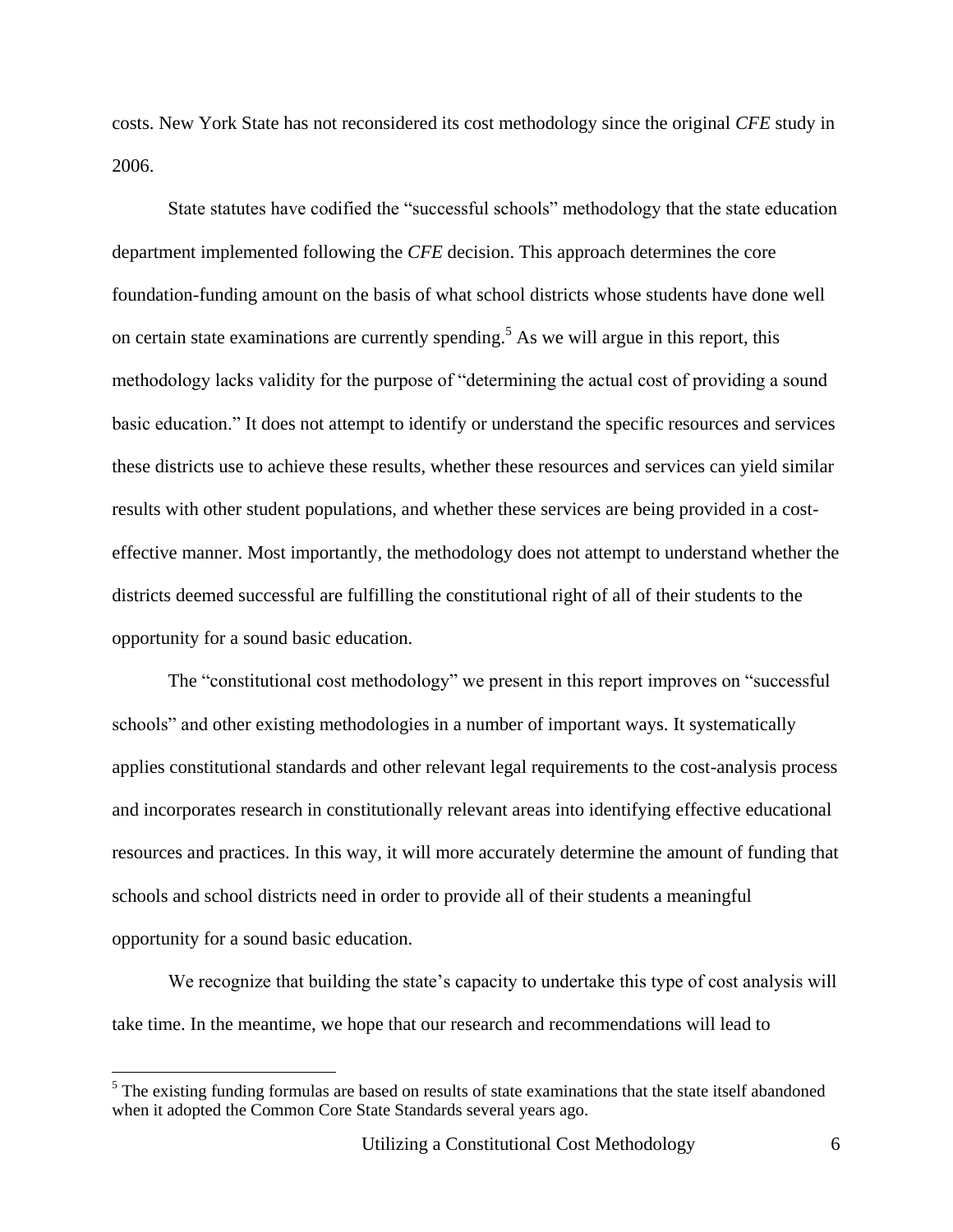costs. New York State has not reconsidered its cost methodology since the original *CFE* study in 2006.

State statutes have codified the "successful schools" methodology that the state education department implemented following the *CFE* decision. This approach determines the core foundation-funding amount on the basis of what school districts whose students have done well on certain state examinations are currently spending. <sup>5</sup> As we will argue in this report, this methodology lacks validity for the purpose of "determining the actual cost of providing a sound basic education." It does not attempt to identify or understand the specific resources and services these districts use to achieve these results, whether these resources and services can yield similar results with other student populations, and whether these services are being provided in a costeffective manner. Most importantly, the methodology does not attempt to understand whether the districts deemed successful are fulfilling the constitutional right of all of their students to the opportunity for a sound basic education.

The "constitutional cost methodology" we present in this report improves on "successful schools" and other existing methodologies in a number of important ways. It systematically applies constitutional standards and other relevant legal requirements to the cost-analysis process and incorporates research in constitutionally relevant areas into identifying effective educational resources and practices. In this way, it will more accurately determine the amount of funding that schools and school districts need in order to provide all of their students a meaningful opportunity for a sound basic education.

We recognize that building the state's capacity to undertake this type of cost analysis will take time. In the meantime, we hope that our research and recommendations will lead to

 $<sup>5</sup>$  The existing funding formulas are based on results of state examinations that the state itself abandoned</sup> when it adopted the Common Core State Standards several years ago.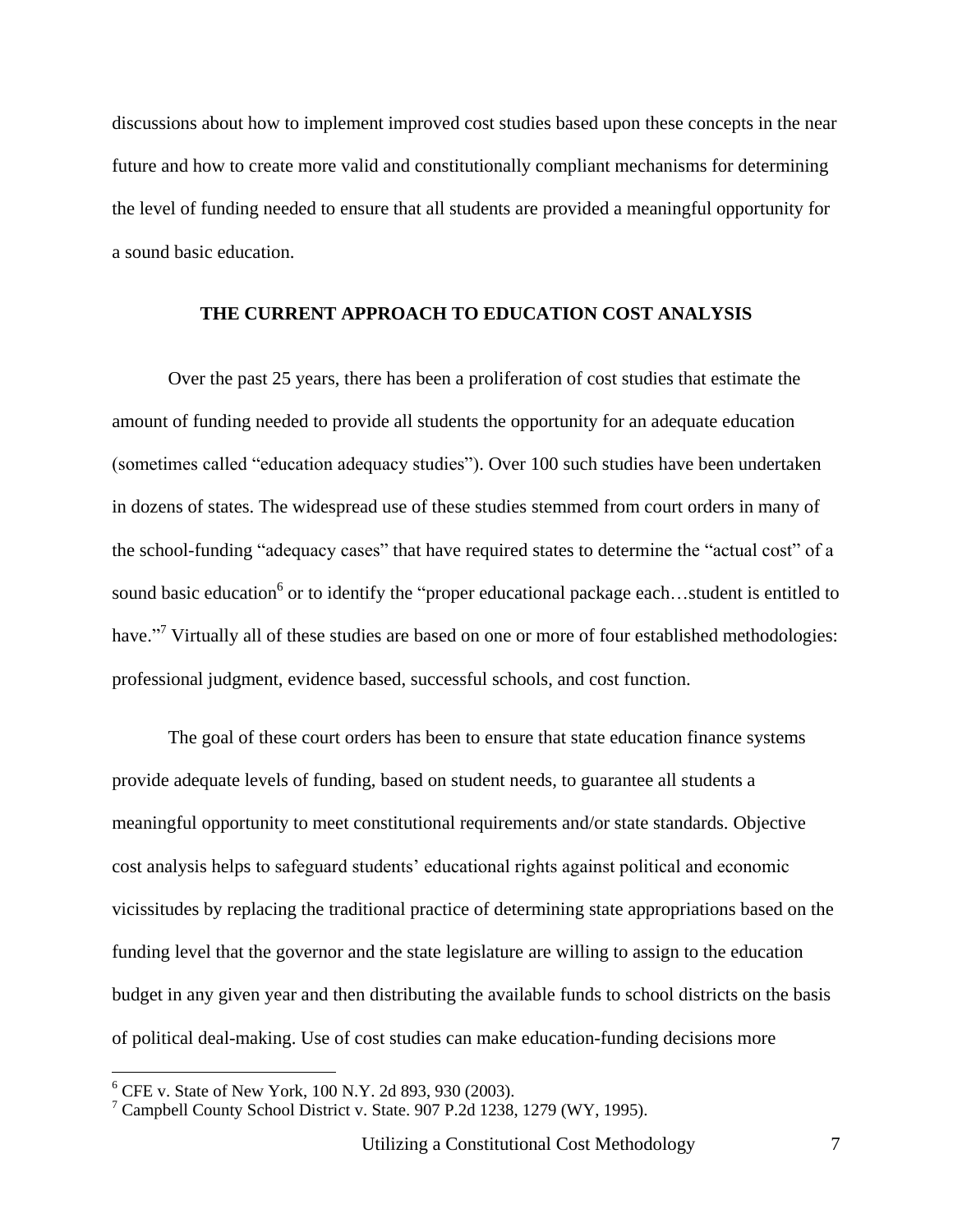discussions about how to implement improved cost studies based upon these concepts in the near future and how to create more valid and constitutionally compliant mechanisms for determining the level of funding needed to ensure that all students are provided a meaningful opportunity for a sound basic education.

#### **THE CURRENT APPROACH TO EDUCATION COST ANALYSIS**

Over the past 25 years, there has been a proliferation of cost studies that estimate the amount of funding needed to provide all students the opportunity for an adequate education (sometimes called "education adequacy studies"). Over 100 such studies have been undertaken in dozens of states. The widespread use of these studies stemmed from court orders in many of the school-funding "adequacy cases" that have required states to determine the "actual cost" of a sound basic education<sup>6</sup> or to identify the "proper educational package each...student is entitled to have."<sup>7</sup> Virtually all of these studies are based on one or more of four established methodologies: professional judgment, evidence based, successful schools, and cost function.

The goal of these court orders has been to ensure that state education finance systems provide adequate levels of funding, based on student needs, to guarantee all students a meaningful opportunity to meet constitutional requirements and/or state standards. Objective cost analysis helps to safeguard students' educational rights against political and economic vicissitudes by replacing the traditional practice of determining state appropriations based on the funding level that the governor and the state legislature are willing to assign to the education budget in any given year and then distributing the available funds to school districts on the basis of political deal-making. Use of cost studies can make education-funding decisions more

 $6$  CFE v. State of New York, 100 N.Y. 2d 893, 930 (2003).

 $7$  Campbell County School District v. State. 907 P.2d 1238, 1279 (WY, 1995).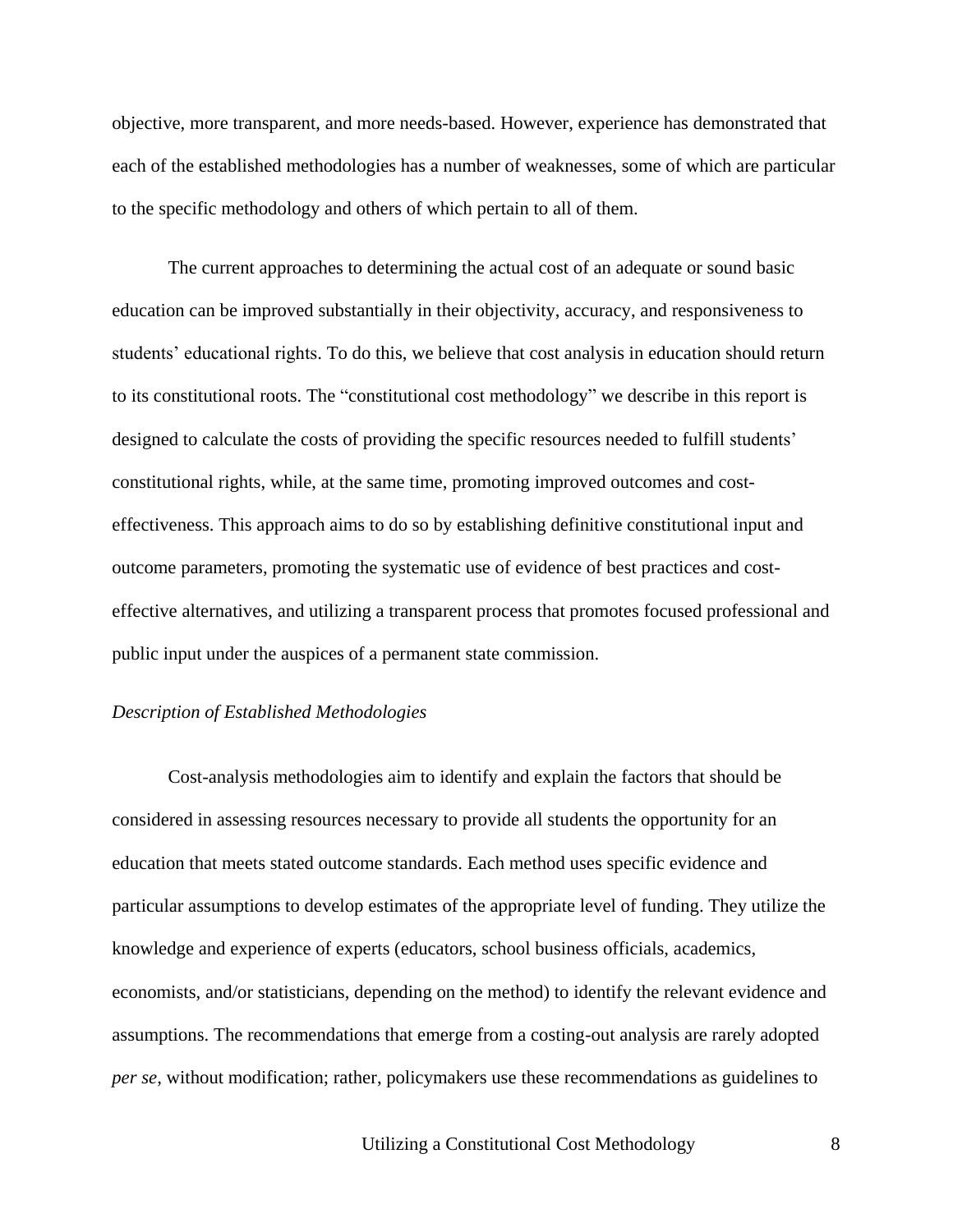objective, more transparent, and more needs-based. However, experience has demonstrated that each of the established methodologies has a number of weaknesses, some of which are particular to the specific methodology and others of which pertain to all of them.

The current approaches to determining the actual cost of an adequate or sound basic education can be improved substantially in their objectivity, accuracy, and responsiveness to students' educational rights. To do this, we believe that cost analysis in education should return to its constitutional roots. The "constitutional cost methodology" we describe in this report is designed to calculate the costs of providing the specific resources needed to fulfill students' constitutional rights, while, at the same time, promoting improved outcomes and costeffectiveness. This approach aims to do so by establishing definitive constitutional input and outcome parameters, promoting the systematic use of evidence of best practices and costeffective alternatives, and utilizing a transparent process that promotes focused professional and public input under the auspices of a permanent state commission.

#### *Description of Established Methodologies*

Cost-analysis methodologies aim to identify and explain the factors that should be considered in assessing resources necessary to provide all students the opportunity for an education that meets stated outcome standards. Each method uses specific evidence and particular assumptions to develop estimates of the appropriate level of funding. They utilize the knowledge and experience of experts (educators, school business officials, academics, economists, and/or statisticians, depending on the method) to identify the relevant evidence and assumptions. The recommendations that emerge from a costing-out analysis are rarely adopted *per se*, without modification; rather, policymakers use these recommendations as guidelines to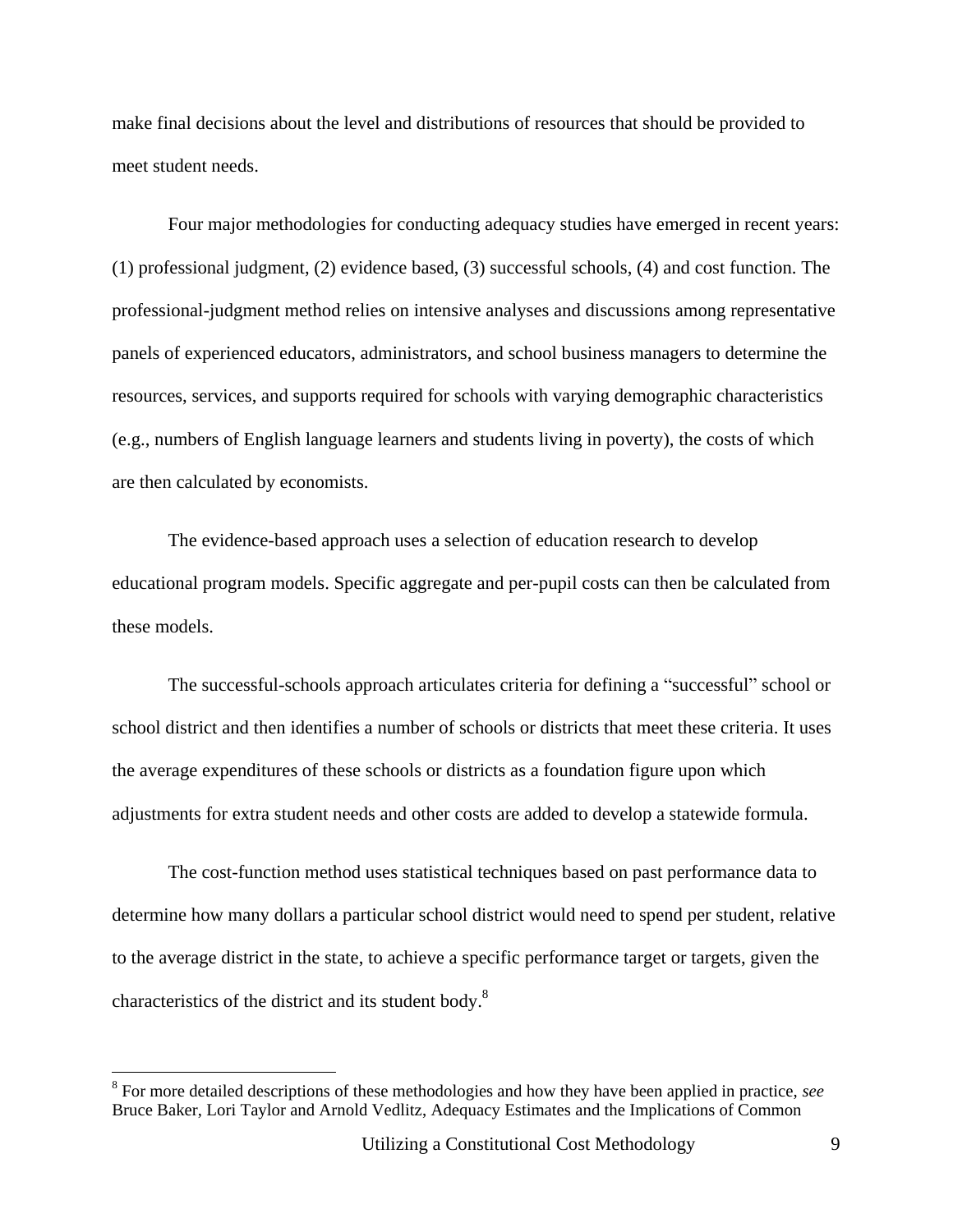make final decisions about the level and distributions of resources that should be provided to meet student needs.

Four major methodologies for conducting adequacy studies have emerged in recent years: (1) professional judgment, (2) evidence based, (3) successful schools, (4) and cost function. The professional-judgment method relies on intensive analyses and discussions among representative panels of experienced educators, administrators, and school business managers to determine the resources, services, and supports required for schools with varying demographic characteristics (e.g., numbers of English language learners and students living in poverty), the costs of which are then calculated by economists.

The evidence-based approach uses a selection of education research to develop educational program models. Specific aggregate and per-pupil costs can then be calculated from these models.

The successful-schools approach articulates criteria for defining a "successful" school or school district and then identifies a number of schools or districts that meet these criteria. It uses the average expenditures of these schools or districts as a foundation figure upon which adjustments for extra student needs and other costs are added to develop a statewide formula.

The cost-function method uses statistical techniques based on past performance data to determine how many dollars a particular school district would need to spend per student, relative to the average district in the state, to achieve a specific performance target or targets, given the characteristics of the district and its student body.<sup>8</sup>

<sup>8</sup> For more detailed descriptions of these methodologies and how they have been applied in practice, *see* Bruce Baker, Lori Taylor and Arnold Vedlitz, Adequacy Estimates and the Implications of Common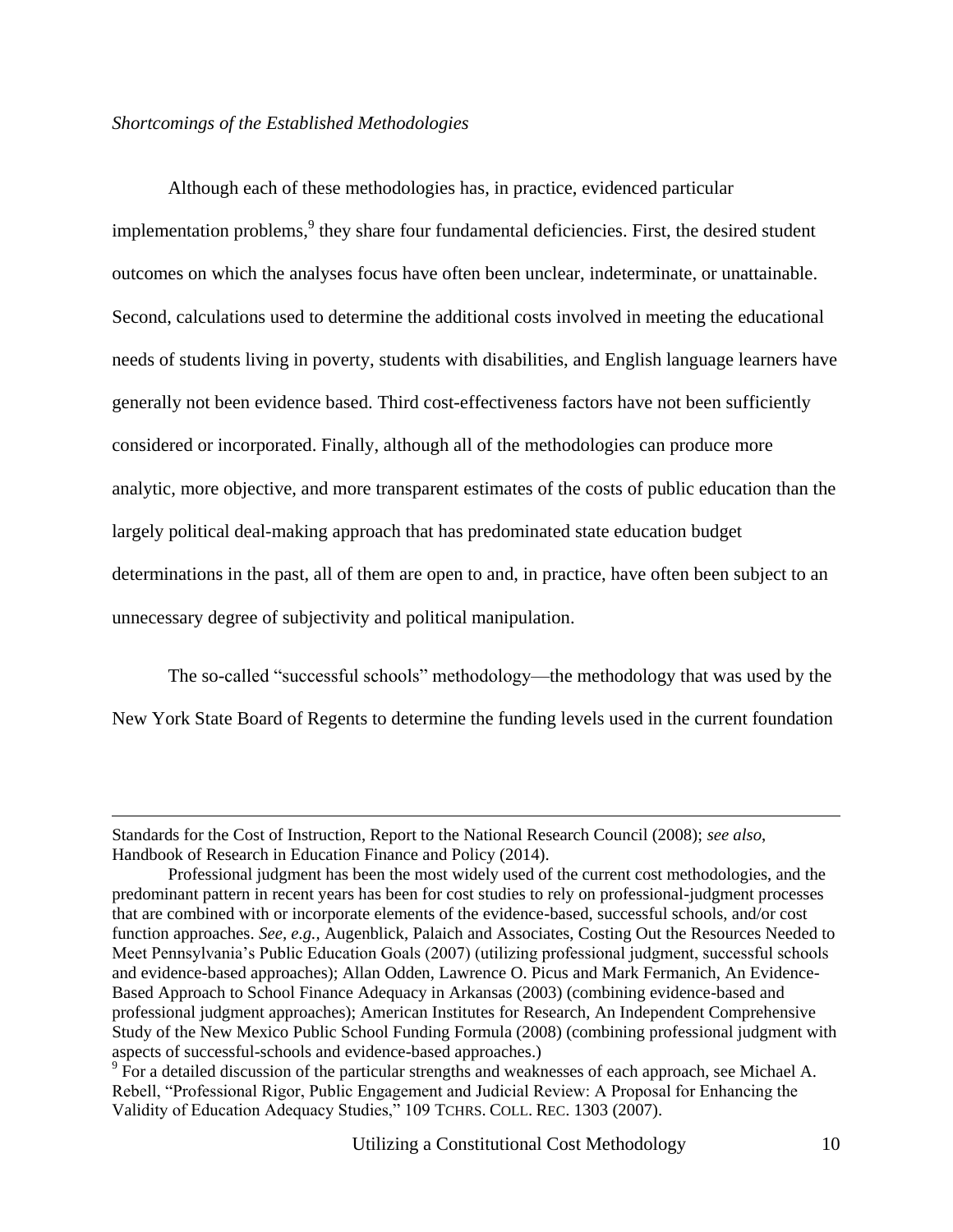#### *Shortcomings of the Established Methodologies*

 $\overline{a}$ 

Although each of these methodologies has, in practice, evidenced particular implementation problems,<sup>9</sup> they share four fundamental deficiencies. First, the desired student outcomes on which the analyses focus have often been unclear, indeterminate, or unattainable. Second, calculations used to determine the additional costs involved in meeting the educational needs of students living in poverty, students with disabilities, and English language learners have generally not been evidence based. Third cost-effectiveness factors have not been sufficiently considered or incorporated. Finally, although all of the methodologies can produce more analytic, more objective, and more transparent estimates of the costs of public education than the largely political deal-making approach that has predominated state education budget determinations in the past, all of them are open to and, in practice, have often been subject to an unnecessary degree of subjectivity and political manipulation.

The so-called "successful schools" methodology—the methodology that was used by the New York State Board of Regents to determine the funding levels used in the current foundation

Standards for the Cost of Instruction, Report to the National Research Council (2008); *see also*, Handbook of Research in Education Finance and Policy (2014).

Professional judgment has been the most widely used of the current cost methodologies, and the predominant pattern in recent years has been for cost studies to rely on professional-judgment processes that are combined with or incorporate elements of the evidence-based, successful schools, and/or cost function approaches. *See, e.g.,* Augenblick, Palaich and Associates, Costing Out the Resources Needed to Meet Pennsylvania's Public Education Goals (2007) (utilizing professional judgment, successful schools and evidence-based approaches); Allan Odden, Lawrence O. Picus and Mark Fermanich, An Evidence-Based Approach to School Finance Adequacy in Arkansas (2003) (combining evidence-based and professional judgment approaches); American Institutes for Research, An Independent Comprehensive Study of the New Mexico Public School Funding Formula (2008) (combining professional judgment with aspects of successful-schools and evidence-based approaches.)

 $9\overline{P}$  For a detailed discussion of the particular strengths and weaknesses of each approach, see Michael A. Rebell, "Professional Rigor, Public Engagement and Judicial Review: A Proposal for Enhancing the Validity of Education Adequacy Studies," 109 TCHRS. COLL. REC. 1303 (2007).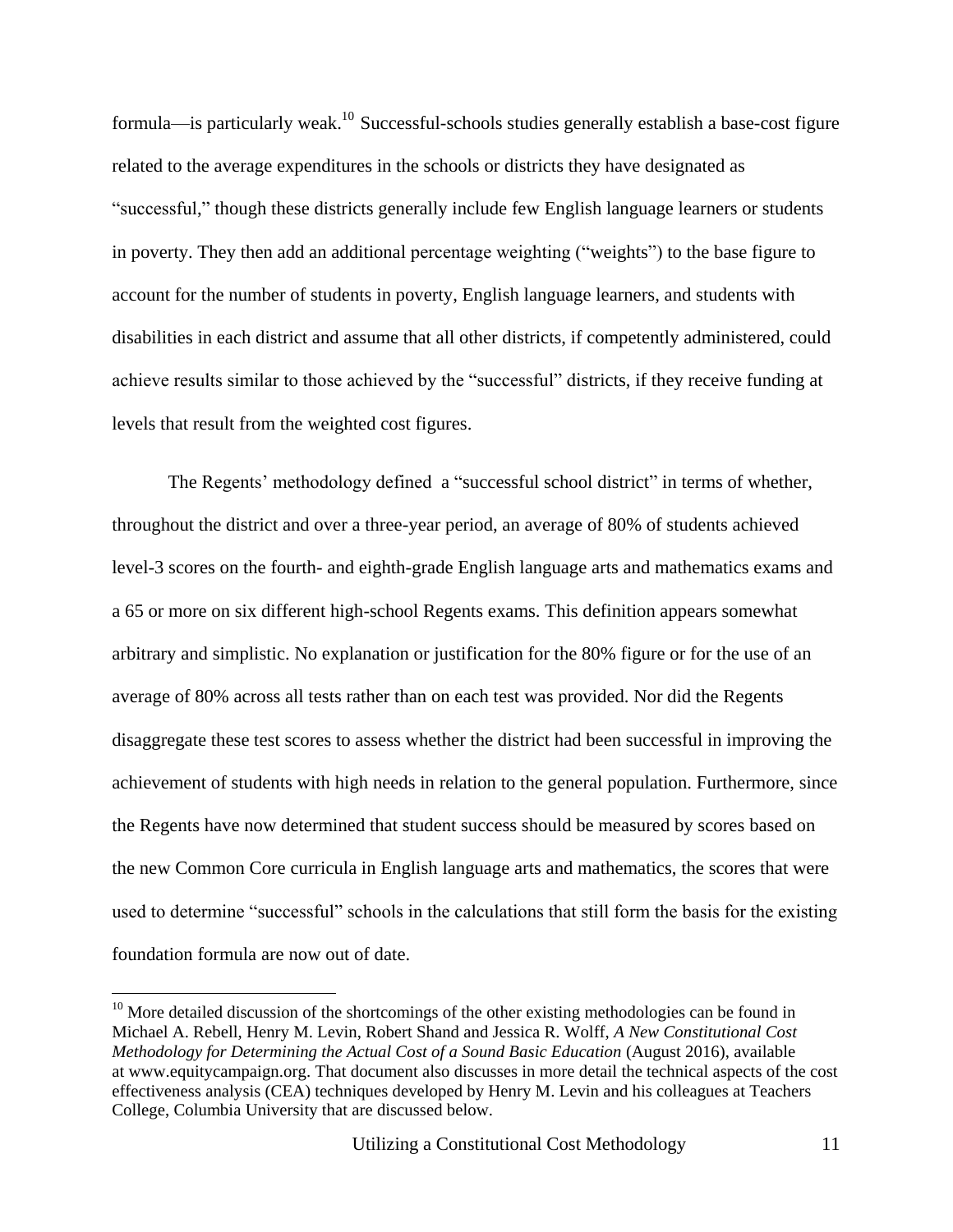formula—is particularly weak.<sup>10</sup> Successful-schools studies generally establish a base-cost figure related to the average expenditures in the schools or districts they have designated as "successful," though these districts generally include few English language learners or students in poverty. They then add an additional percentage weighting ("weights") to the base figure to account for the number of students in poverty, English language learners, and students with disabilities in each district and assume that all other districts, if competently administered, could achieve results similar to those achieved by the "successful" districts, if they receive funding at levels that result from the weighted cost figures.

The Regents' methodology defined a "successful school district" in terms of whether, throughout the district and over a three-year period, an average of 80% of students achieved level-3 scores on the fourth- and eighth-grade English language arts and mathematics exams and a 65 or more on six different high-school Regents exams. This definition appears somewhat arbitrary and simplistic. No explanation or justification for the 80% figure or for the use of an average of 80% across all tests rather than on each test was provided. Nor did the Regents disaggregate these test scores to assess whether the district had been successful in improving the achievement of students with high needs in relation to the general population. Furthermore, since the Regents have now determined that student success should be measured by scores based on the new Common Core curricula in English language arts and mathematics, the scores that were used to determine "successful" schools in the calculations that still form the basis for the existing foundation formula are now out of date.

 $10$  More detailed discussion of the shortcomings of the other existing methodologies can be found in Michael A. Rebell, Henry M. Levin, Robert Shand and Jessica R. Wolff, *A New Constitutional Cost Methodology for Determining the Actual Cost of a Sound Basic Education* (August 2016), available at [www.equitycampaign.org.](http://www.equitycampaign.org/) That document also discusses in more detail the technical aspects of the cost effectiveness analysis (CEA) techniques developed by Henry M. Levin and his colleagues at Teachers College, Columbia University that are discussed below.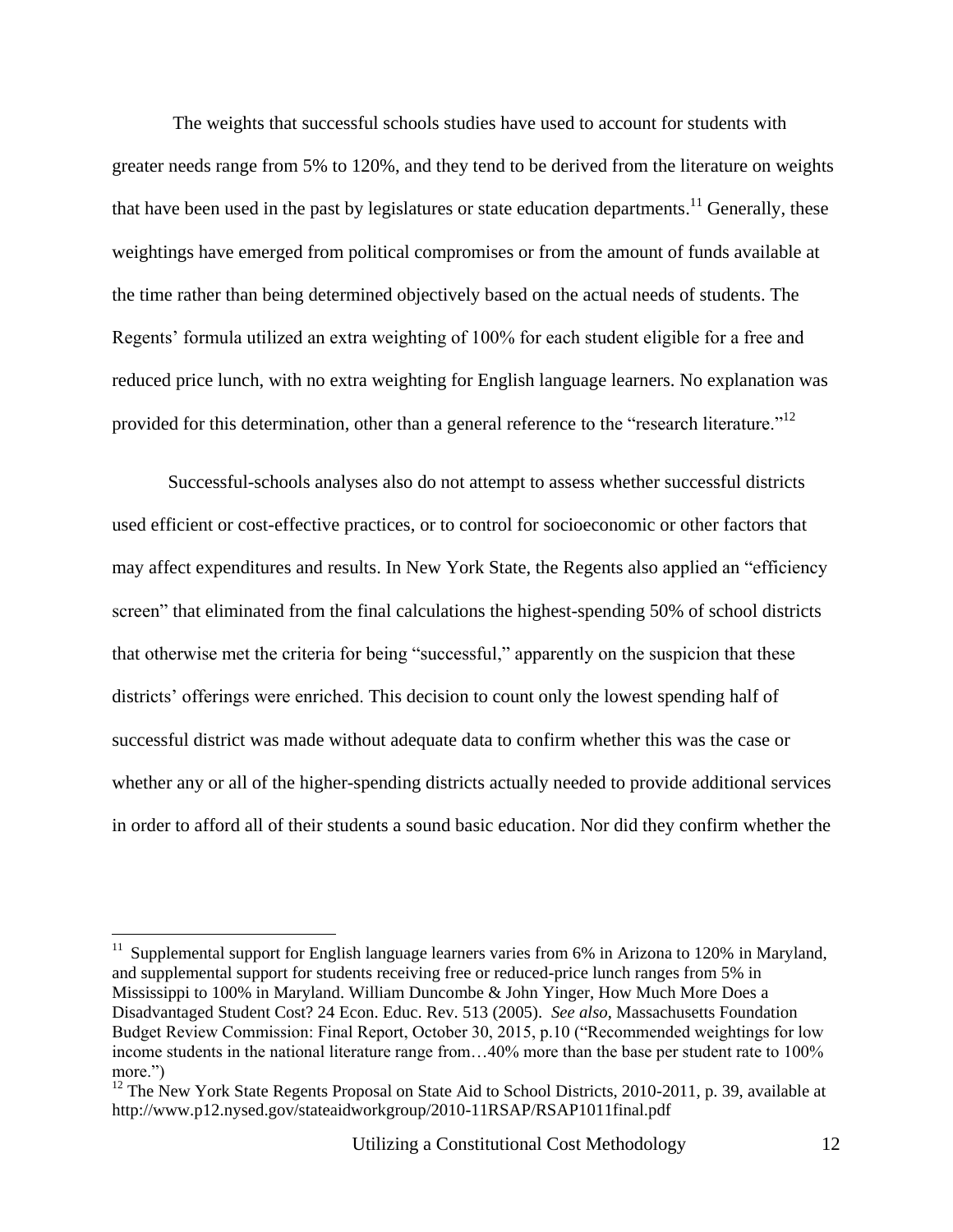The weights that successful schools studies have used to account for students with greater needs range from 5% to 120%, and they tend to be derived from the literature on weights that have been used in the past by legislatures or state education departments.<sup>11</sup> Generally, these weightings have emerged from political compromises or from the amount of funds available at the time rather than being determined objectively based on the actual needs of students. The Regents' formula utilized an extra weighting of 100% for each student eligible for a free and reduced price lunch, with no extra weighting for English language learners. No explanation was provided for this determination, other than a general reference to the "research literature."<sup>12</sup>

Successful-schools analyses also do not attempt to assess whether successful districts used efficient or cost-effective practices, or to control for socioeconomic or other factors that may affect expenditures and results. In New York State, the Regents also applied an "efficiency screen" that eliminated from the final calculations the highest-spending 50% of school districts that otherwise met the criteria for being "successful," apparently on the suspicion that these districts' offerings were enriched. This decision to count only the lowest spending half of successful district was made without adequate data to confirm whether this was the case or whether any or all of the higher-spending districts actually needed to provide additional services in order to afford all of their students a sound basic education. Nor did they confirm whether the

 $11$  Supplemental support for English language learners varies from 6% in Arizona to 120% in Maryland, and supplemental support for students receiving free or reduced-price lunch ranges from 5% in Mississippi to 100% in Maryland. William Duncombe & John Yinger, How Much More Does a Disadvantaged Student Cost? 24 Econ. Educ. Rev. 513 (2005). *See also*, Massachusetts Foundation Budget Review Commission: Final Report, October 30, 2015, p.10 ("Recommended weightings for low income students in the national literature range from…40% more than the base per student rate to 100% more.")

<sup>&</sup>lt;sup>12</sup> The New York State Regents Proposal on State Aid to School Districts, 2010-2011, p. 39, available at http://www.p12.nysed.gov/stateaidworkgroup/2010-11RSAP/RSAP1011final.pdf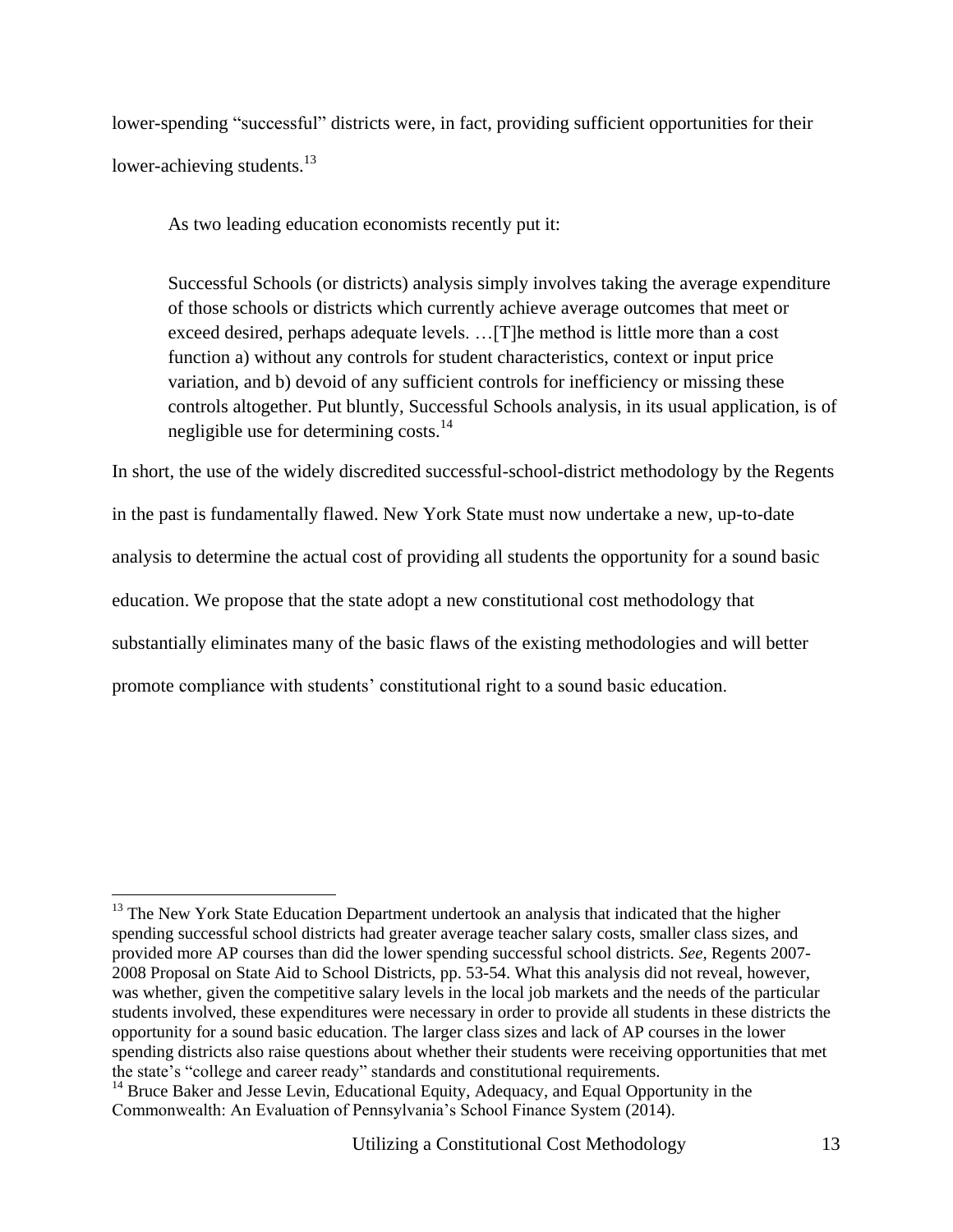lower-spending "successful" districts were, in fact, providing sufficient opportunities for their lower-achieving students.<sup>13</sup>

As two leading education economists recently put it:

Successful Schools (or districts) analysis simply involves taking the average expenditure of those schools or districts which currently achieve average outcomes that meet or exceed desired, perhaps adequate levels. …[T]he method is little more than a cost function a) without any controls for student characteristics, context or input price variation, and b) devoid of any sufficient controls for inefficiency or missing these controls altogether. Put bluntly, Successful Schools analysis, in its usual application, is of negligible use for determining costs.<sup>14</sup>

In short, the use of the widely discredited successful-school-district methodology by the Regents in the past is fundamentally flawed. New York State must now undertake a new, up-to-date analysis to determine the actual cost of providing all students the opportunity for a sound basic education. We propose that the state adopt a new constitutional cost methodology that substantially eliminates many of the basic flaws of the existing methodologies and will better promote compliance with students' constitutional right to a sound basic education.

 $13$  The New York State Education Department undertook an analysis that indicated that the higher spending successful school districts had greater average teacher salary costs, smaller class sizes, and provided more AP courses than did the lower spending successful school districts. *See,* Regents 2007- 2008 Proposal on State Aid to School Districts, pp. 53-54. What this analysis did not reveal, however, was whether, given the competitive salary levels in the local job markets and the needs of the particular students involved, these expenditures were necessary in order to provide all students in these districts the opportunity for a sound basic education. The larger class sizes and lack of AP courses in the lower spending districts also raise questions about whether their students were receiving opportunities that met the state's "college and career ready" standards and constitutional requirements.

 $14$  Bruce Baker and Jesse Levin, Educational Equity, Adequacy, and Equal Opportunity in the Commonwealth: An Evaluation of Pennsylvania's School Finance System (2014).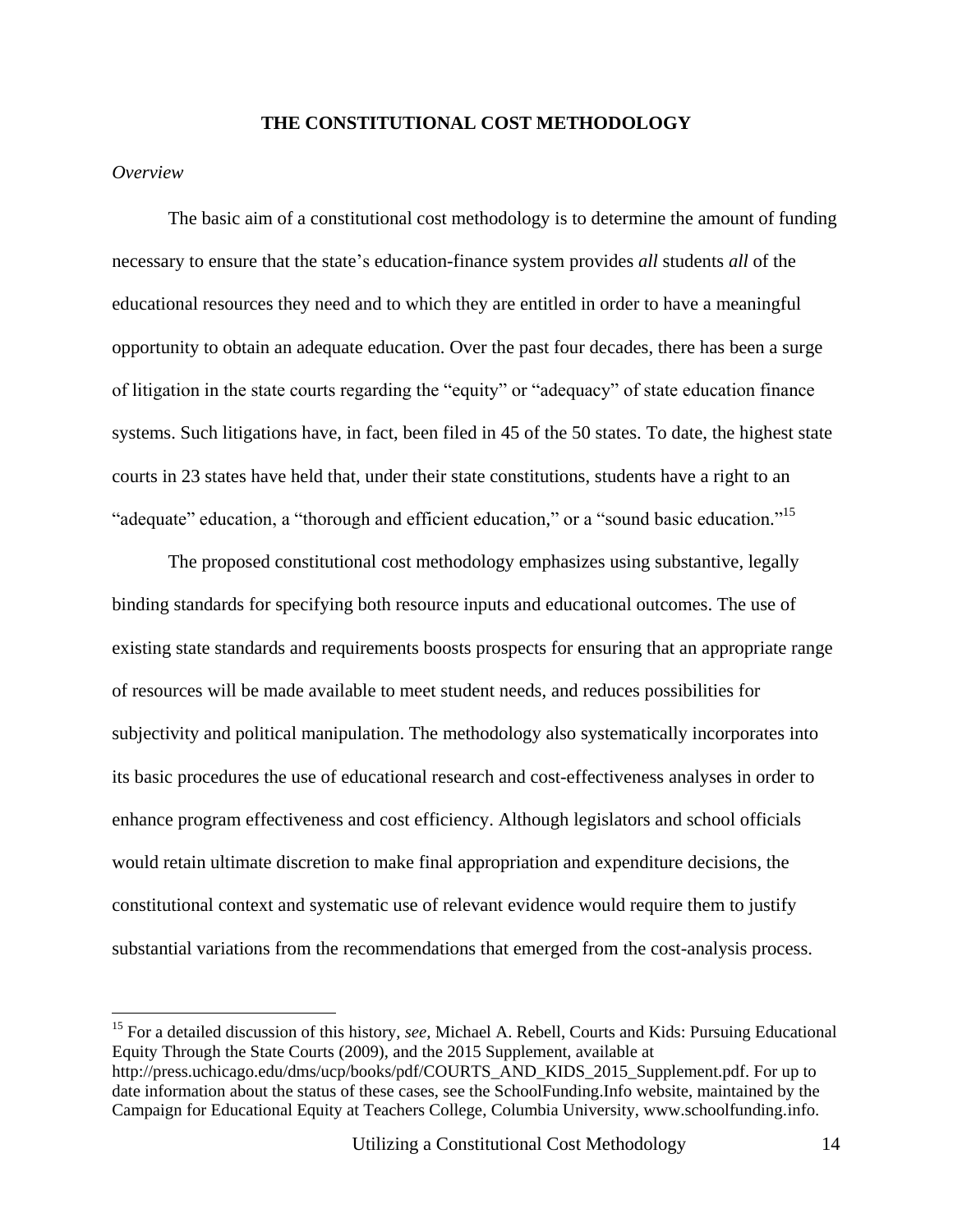#### **THE CONSTITUTIONAL COST METHODOLOGY**

#### *Overview*

 $\overline{a}$ 

The basic aim of a constitutional cost methodology is to determine the amount of funding necessary to ensure that the state's education-finance system provides *all* students *all* of the educational resources they need and to which they are entitled in order to have a meaningful opportunity to obtain an adequate education. Over the past four decades, there has been a surge of litigation in the state courts regarding the "equity" or "adequacy" of state education finance systems. Such litigations have, in fact, been filed in 45 of the 50 states. To date, the highest state courts in 23 states have held that, under their state constitutions, students have a right to an "adequate" education, a "thorough and efficient education," or a "sound basic education."<sup>15</sup>

The proposed constitutional cost methodology emphasizes using substantive, legally binding standards for specifying both resource inputs and educational outcomes. The use of existing state standards and requirements boosts prospects for ensuring that an appropriate range of resources will be made available to meet student needs, and reduces possibilities for subjectivity and political manipulation. The methodology also systematically incorporates into its basic procedures the use of educational research and cost-effectiveness analyses in order to enhance program effectiveness and cost efficiency. Although legislators and school officials would retain ultimate discretion to make final appropriation and expenditure decisions, the constitutional context and systematic use of relevant evidence would require them to justify substantial variations from the recommendations that emerged from the cost-analysis process.

<sup>15</sup> For a detailed discussion of this history, *see,* Michael A. Rebell, Courts and Kids: Pursuing Educational Equity Through the State Courts (2009), and the 2015 Supplement, available at http://press.uchicago.edu/dms/ucp/books/pdf/COURTS\_AND\_KIDS\_2015\_Supplement.pdf. For up to date information about the status of these cases, see the SchoolFunding.Info website, maintained by the Campaign for Educational Equity at Teachers College, Columbia University, www.schoolfunding.info.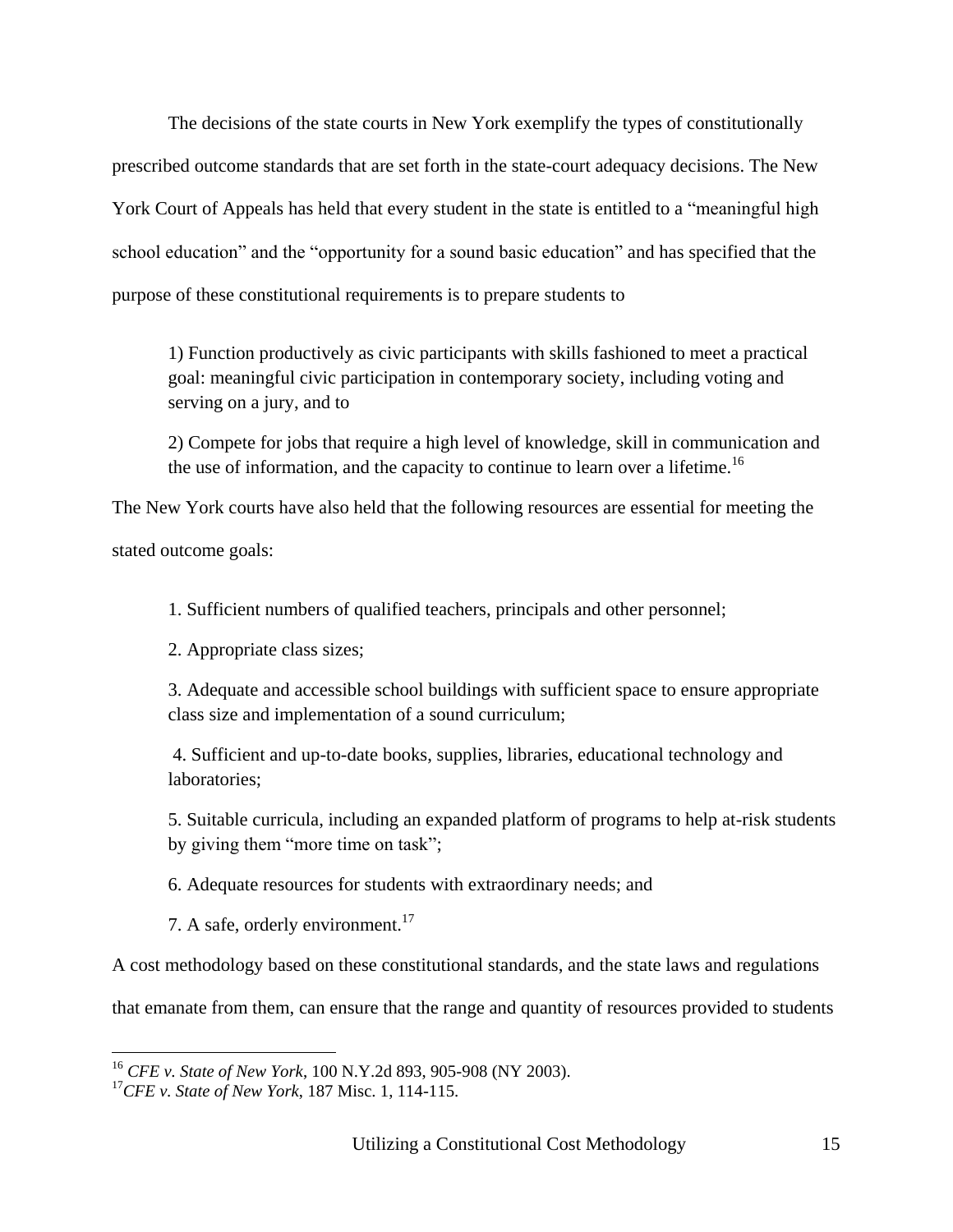The decisions of the state courts in New York exemplify the types of constitutionally prescribed outcome standards that are set forth in the state-court adequacy decisions. The New York Court of Appeals has held that every student in the state is entitled to a "meaningful high school education" and the "opportunity for a sound basic education" and has specified that the purpose of these constitutional requirements is to prepare students to

1) Function productively as civic participants with skills fashioned to meet a practical goal: meaningful civic participation in contemporary society, including voting and serving on a jury, and to

2) Compete for jobs that require a high level of knowledge, skill in communication and the use of information, and the capacity to continue to learn over a lifetime.<sup>16</sup>

The New York courts have also held that the following resources are essential for meeting the stated outcome goals:

1. Sufficient numbers of qualified teachers, principals and other personnel;

2. Appropriate class sizes;

3. Adequate and accessible school buildings with sufficient space to ensure appropriate class size and implementation of a sound curriculum;

4. Sufficient and up-to-date books, supplies, libraries, educational technology and laboratories;

5. Suitable curricula, including an expanded platform of programs to help at-risk students by giving them "more time on task";

6. Adequate resources for students with extraordinary needs; and

7. A safe, orderly environment.<sup>17</sup>

A cost methodology based on these constitutional standards, and the state laws and regulations

that emanate from them, can ensure that the range and quantity of resources provided to students

<sup>16</sup> *CFE v. State of New York*, 100 N.Y.2d 893, 905-908 (NY 2003).

<sup>17</sup>*CFE v. State of New York*, 187 Misc. 1, 114-115.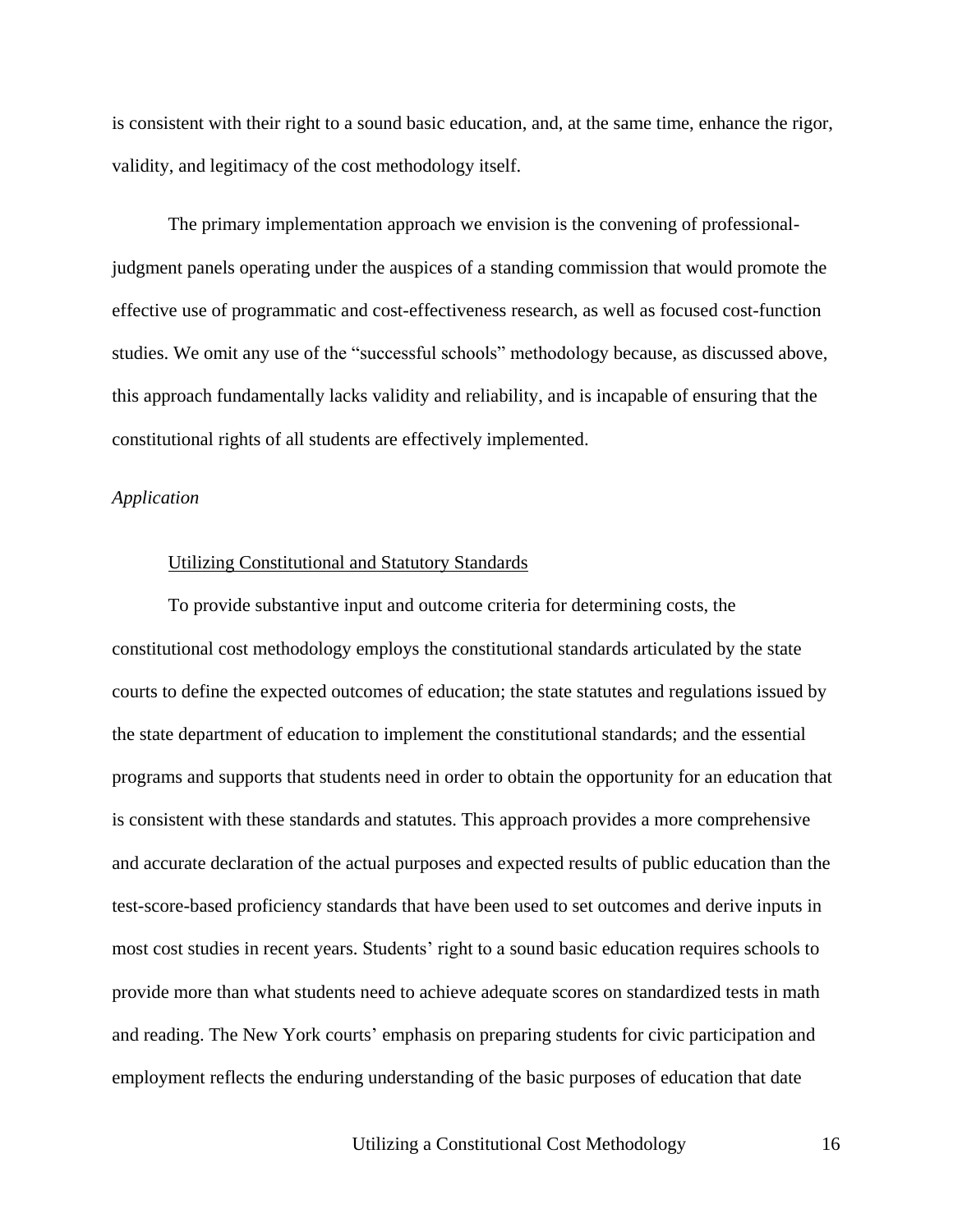is consistent with their right to a sound basic education, and, at the same time, enhance the rigor, validity, and legitimacy of the cost methodology itself.

The primary implementation approach we envision is the convening of professionaljudgment panels operating under the auspices of a standing commission that would promote the effective use of programmatic and cost-effectiveness research, as well as focused cost-function studies. We omit any use of the "successful schools" methodology because, as discussed above, this approach fundamentally lacks validity and reliability, and is incapable of ensuring that the constitutional rights of all students are effectively implemented.

#### *Application*

#### Utilizing Constitutional and Statutory Standards

To provide substantive input and outcome criteria for determining costs, the constitutional cost methodology employs the constitutional standards articulated by the state courts to define the expected outcomes of education; the state statutes and regulations issued by the state department of education to implement the constitutional standards; and the essential programs and supports that students need in order to obtain the opportunity for an education that is consistent with these standards and statutes. This approach provides a more comprehensive and accurate declaration of the actual purposes and expected results of public education than the test-score-based proficiency standards that have been used to set outcomes and derive inputs in most cost studies in recent years. Students' right to a sound basic education requires schools to provide more than what students need to achieve adequate scores on standardized tests in math and reading. The New York courts' emphasis on preparing students for civic participation and employment reflects the enduring understanding of the basic purposes of education that date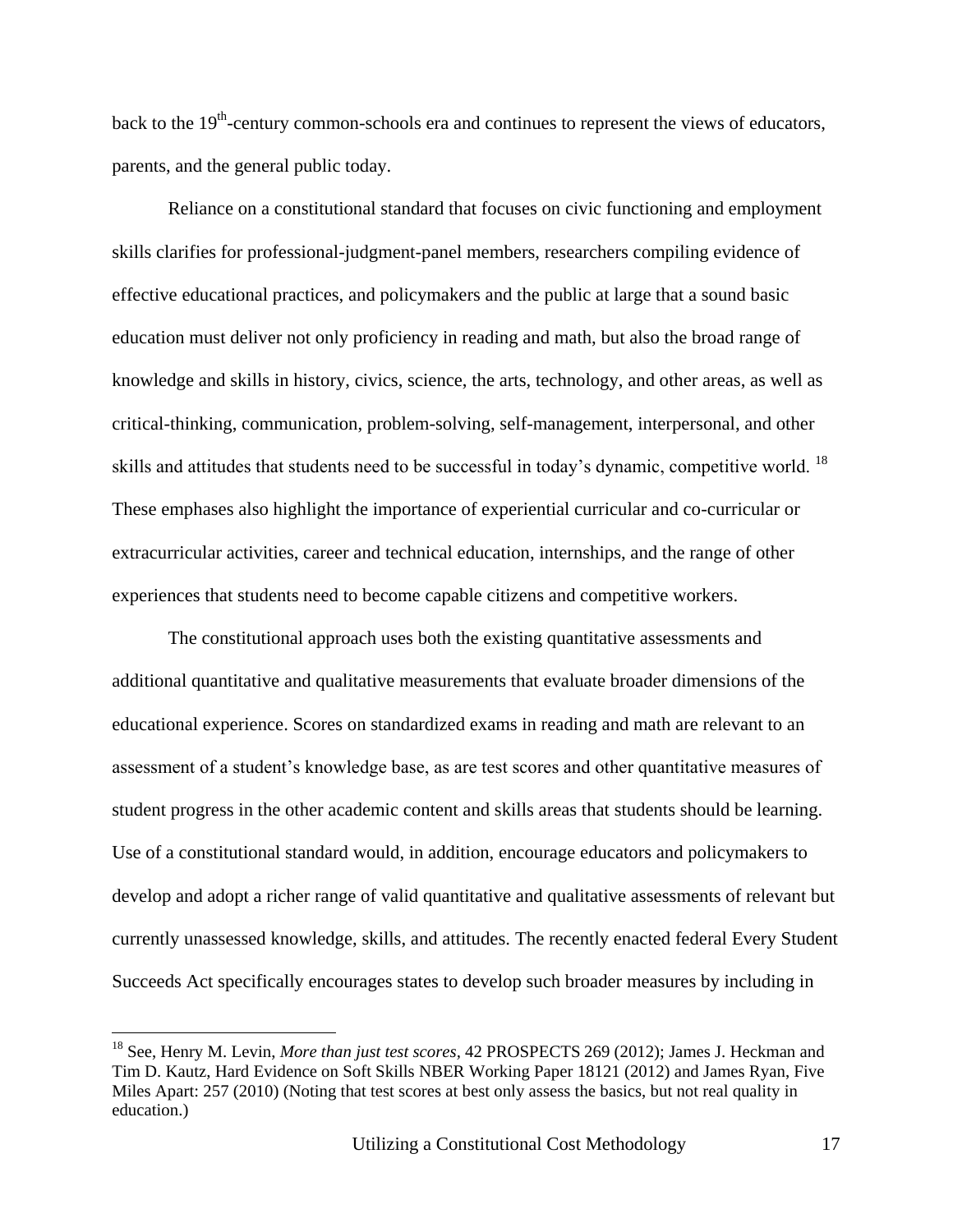back to the 19<sup>th</sup>-century common-schools era and continues to represent the views of educators, parents, and the general public today.

Reliance on a constitutional standard that focuses on civic functioning and employment skills clarifies for professional-judgment-panel members, researchers compiling evidence of effective educational practices, and policymakers and the public at large that a sound basic education must deliver not only proficiency in reading and math, but also the broad range of knowledge and skills in history, civics, science, the arts, technology, and other areas, as well as critical-thinking, communication, problem-solving, self-management, interpersonal, and other skills and attitudes that students need to be successful in today's dynamic, competitive world. <sup>18</sup> These emphases also highlight the importance of experiential curricular and co-curricular or extracurricular activities, career and technical education, internships, and the range of other experiences that students need to become capable citizens and competitive workers.

The constitutional approach uses both the existing quantitative assessments and additional quantitative and qualitative measurements that evaluate broader dimensions of the educational experience. Scores on standardized exams in reading and math are relevant to an assessment of a student's knowledge base, as are test scores and other quantitative measures of student progress in the other academic content and skills areas that students should be learning. Use of a constitutional standard would, in addition, encourage educators and policymakers to develop and adopt a richer range of valid quantitative and qualitative assessments of relevant but currently unassessed knowledge, skills, and attitudes. The recently enacted federal Every Student Succeeds Act specifically encourages states to develop such broader measures by including in

<sup>18</sup> See, Henry M. Levin, *More than just test scores,* 42 PROSPECTS 269 (2012); James J. Heckman and Tim D. Kautz, Hard Evidence on Soft Skills NBER Working Paper 18121 (2012) and James Ryan, Five Miles Apart: 257 (2010) (Noting that test scores at best only assess the basics, but not real quality in education.)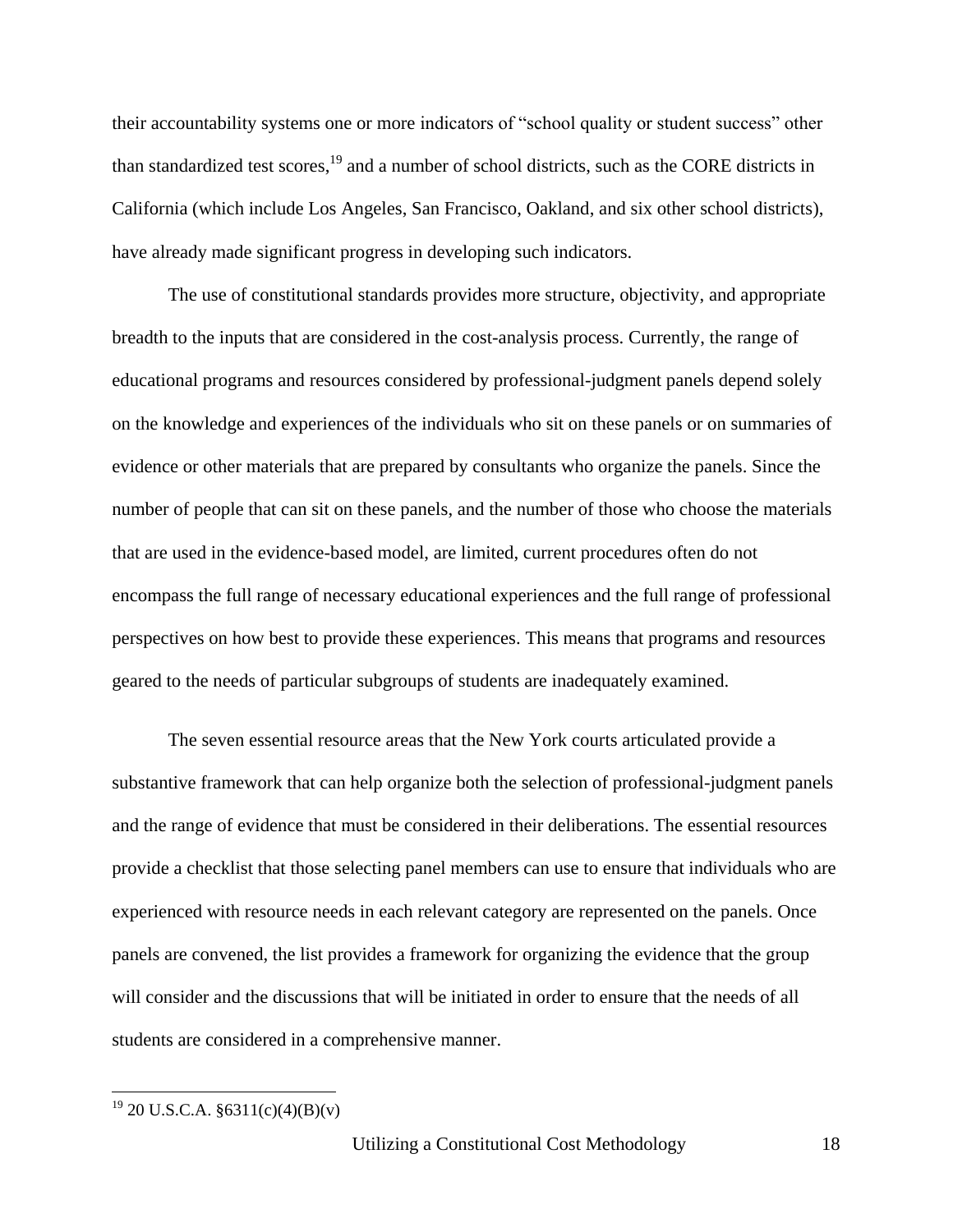their accountability systems one or more indicators of "school quality or student success" other than standardized test scores,<sup>19</sup> and a number of school districts, such as the CORE districts in California (which include Los Angeles, San Francisco, Oakland, and six other school districts), have already made significant progress in developing such indicators.

The use of constitutional standards provides more structure, objectivity, and appropriate breadth to the inputs that are considered in the cost-analysis process. Currently, the range of educational programs and resources considered by professional-judgment panels depend solely on the knowledge and experiences of the individuals who sit on these panels or on summaries of evidence or other materials that are prepared by consultants who organize the panels. Since the number of people that can sit on these panels, and the number of those who choose the materials that are used in the evidence-based model, are limited, current procedures often do not encompass the full range of necessary educational experiences and the full range of professional perspectives on how best to provide these experiences. This means that programs and resources geared to the needs of particular subgroups of students are inadequately examined.

The seven essential resource areas that the New York courts articulated provide a substantive framework that can help organize both the selection of professional-judgment panels and the range of evidence that must be considered in their deliberations. The essential resources provide a checklist that those selecting panel members can use to ensure that individuals who are experienced with resource needs in each relevant category are represented on the panels. Once panels are convened, the list provides a framework for organizing the evidence that the group will consider and the discussions that will be initiated in order to ensure that the needs of all students are considered in a comprehensive manner.

 $19$  20 U.S.C.A. §6311(c)(4)(B)(v)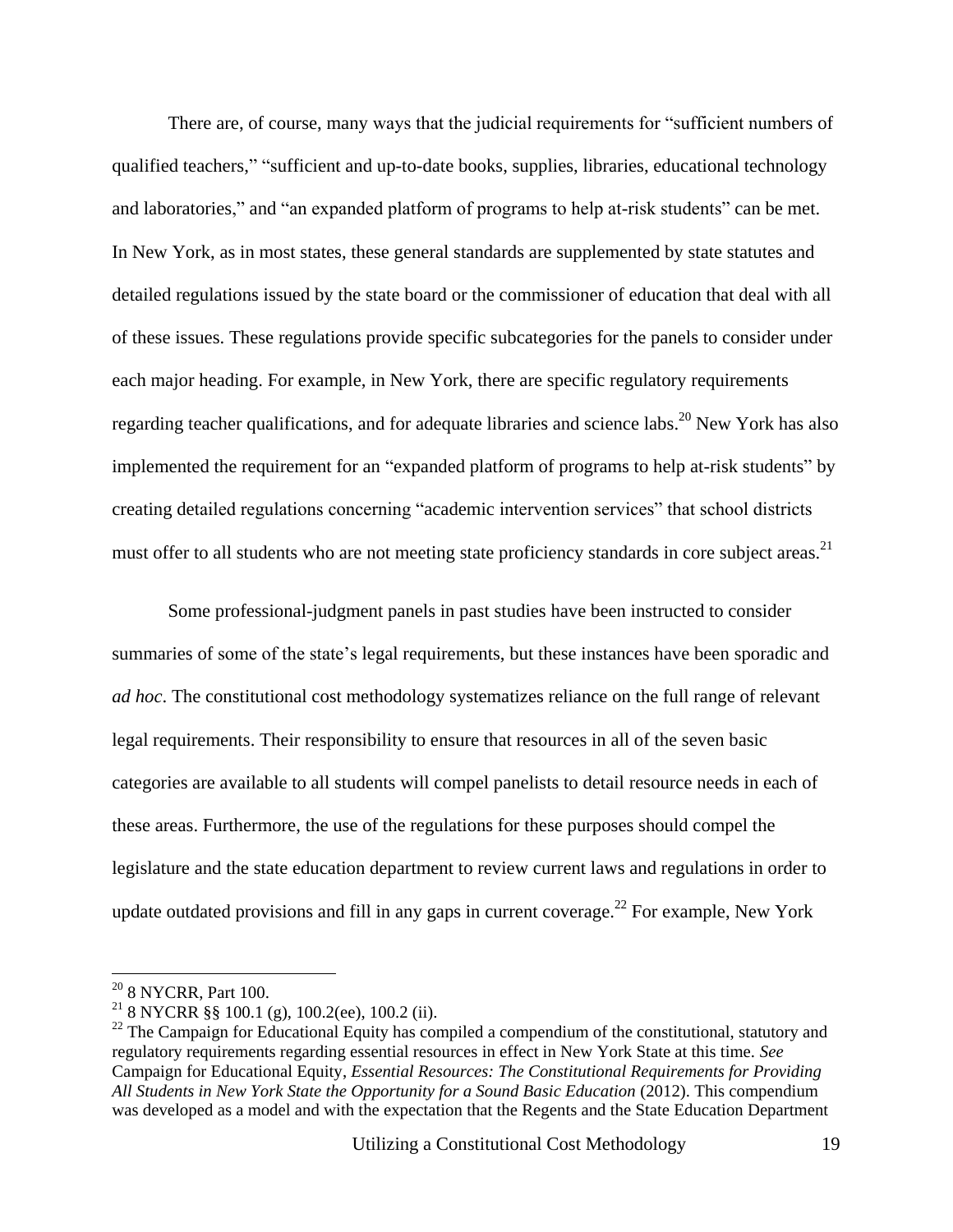There are, of course, many ways that the judicial requirements for "sufficient numbers of qualified teachers," "sufficient and up-to-date books, supplies, libraries, educational technology and laboratories," and "an expanded platform of programs to help at-risk students" can be met. In New York, as in most states, these general standards are supplemented by state statutes and detailed regulations issued by the state board or the commissioner of education that deal with all of these issues. These regulations provide specific subcategories for the panels to consider under each major heading. For example, in New York, there are specific regulatory requirements regarding teacher qualifications, and for adequate libraries and science labs.<sup>20</sup> New York has also implemented the requirement for an "expanded platform of programs to help at-risk students" by creating detailed regulations concerning "academic intervention services" that school districts must offer to all students who are not meeting state proficiency standards in core subject areas.<sup>21</sup>

Some professional-judgment panels in past studies have been instructed to consider summaries of some of the state's legal requirements, but these instances have been sporadic and *ad hoc*. The constitutional cost methodology systematizes reliance on the full range of relevant legal requirements. Their responsibility to ensure that resources in all of the seven basic categories are available to all students will compel panelists to detail resource needs in each of these areas. Furthermore, the use of the regulations for these purposes should compel the legislature and the state education department to review current laws and regulations in order to update outdated provisions and fill in any gaps in current coverage.<sup>22</sup> For example, New York

 $20$  8 NYCRR, Part 100.

<sup>&</sup>lt;sup>21</sup> 8 NYCRR §§ 100.1 (g), 100.2(ee), 100.2 (ii).

 $2<sup>22</sup>$  The Campaign for Educational Equity has compiled a compendium of the constitutional, statutory and regulatory requirements regarding essential resources in effect in New York State at this time. *See* Campaign for Educational Equity, *Essential Resources: The Constitutional Requirements for Providing All Students in New York State the Opportunity for a Sound Basic Education* (2012). This compendium was developed as a model and with the expectation that the Regents and the State Education Department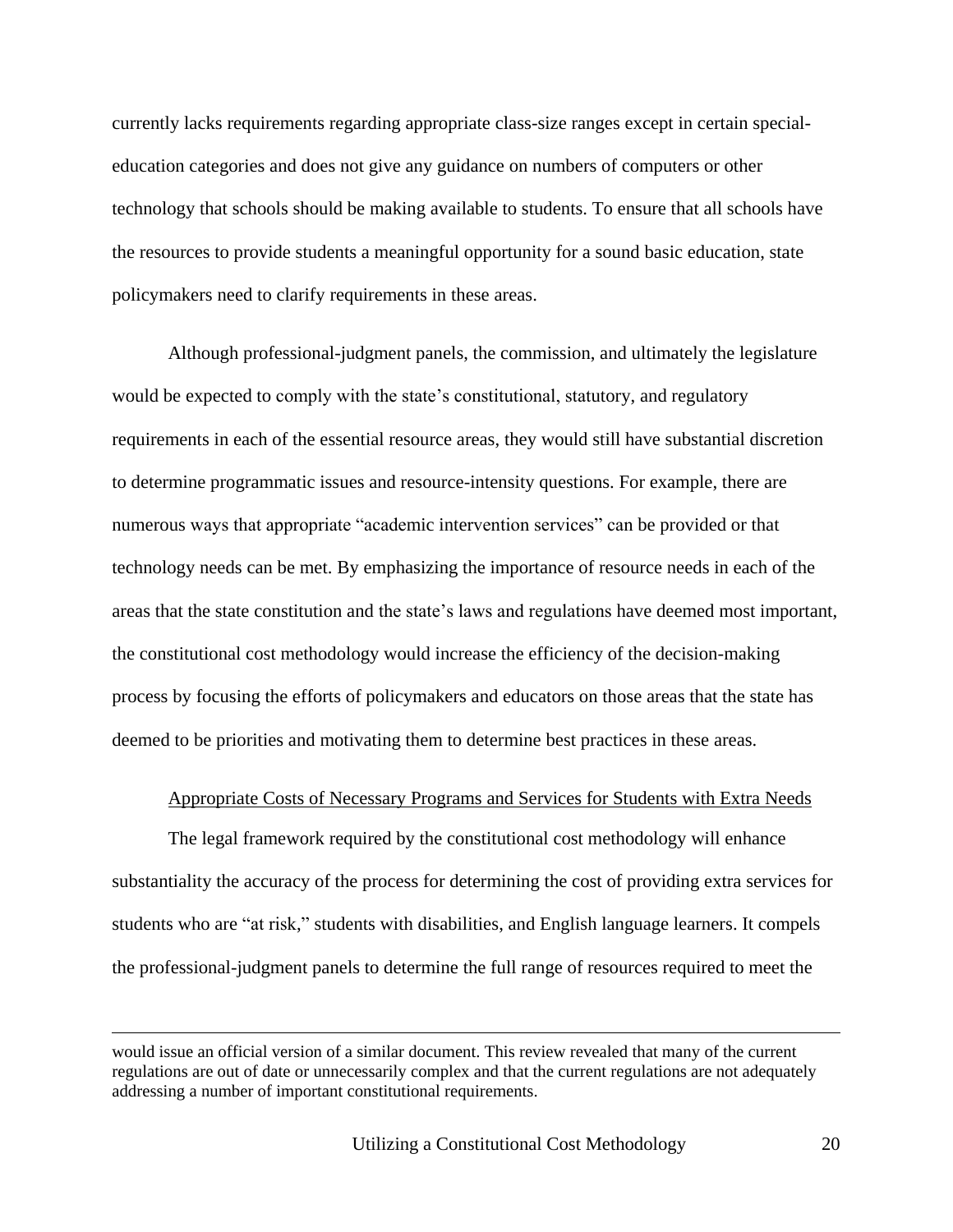currently lacks requirements regarding appropriate class-size ranges except in certain specialeducation categories and does not give any guidance on numbers of computers or other technology that schools should be making available to students. To ensure that all schools have the resources to provide students a meaningful opportunity for a sound basic education, state policymakers need to clarify requirements in these areas.

Although professional-judgment panels, the commission, and ultimately the legislature would be expected to comply with the state's constitutional, statutory, and regulatory requirements in each of the essential resource areas, they would still have substantial discretion to determine programmatic issues and resource-intensity questions. For example, there are numerous ways that appropriate "academic intervention services" can be provided or that technology needs can be met. By emphasizing the importance of resource needs in each of the areas that the state constitution and the state's laws and regulations have deemed most important, the constitutional cost methodology would increase the efficiency of the decision-making process by focusing the efforts of policymakers and educators on those areas that the state has deemed to be priorities and motivating them to determine best practices in these areas.

#### Appropriate Costs of Necessary Programs and Services for Students with Extra Needs

The legal framework required by the constitutional cost methodology will enhance substantiality the accuracy of the process for determining the cost of providing extra services for students who are "at risk," students with disabilities, and English language learners. It compels the professional-judgment panels to determine the full range of resources required to meet the

would issue an official version of a similar document. This review revealed that many of the current regulations are out of date or unnecessarily complex and that the current regulations are not adequately addressing a number of important constitutional requirements.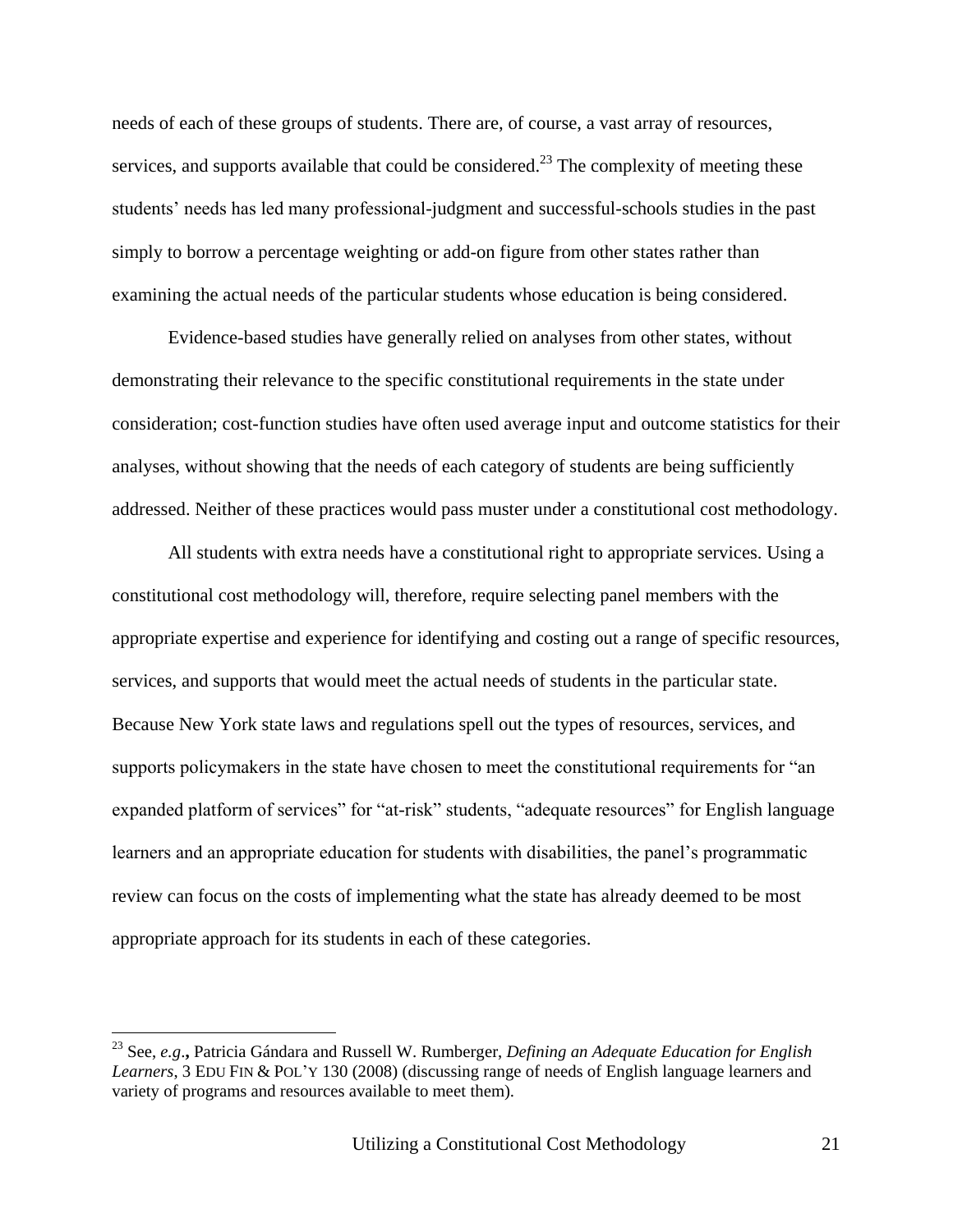needs of each of these groups of students. There are, of course, a vast array of resources, services, and supports available that could be considered.<sup>23</sup> The complexity of meeting these students' needs has led many professional-judgment and successful-schools studies in the past simply to borrow a percentage weighting or add-on figure from other states rather than examining the actual needs of the particular students whose education is being considered.

Evidence-based studies have generally relied on analyses from other states, without demonstrating their relevance to the specific constitutional requirements in the state under consideration; cost-function studies have often used average input and outcome statistics for their analyses, without showing that the needs of each category of students are being sufficiently addressed. Neither of these practices would pass muster under a constitutional cost methodology.

All students with extra needs have a constitutional right to appropriate services. Using a constitutional cost methodology will, therefore, require selecting panel members with the appropriate expertise and experience for identifying and costing out a range of specific resources, services, and supports that would meet the actual needs of students in the particular state. Because New York state laws and regulations spell out the types of resources, services, and supports policymakers in the state have chosen to meet the constitutional requirements for "an expanded platform of services" for "at-risk" students, "adequate resources" for English language learners and an appropriate education for students with disabilities, the panel's programmatic review can focus on the costs of implementing what the state has already deemed to be most appropriate approach for its students in each of these categories.

<sup>23</sup> See, *e.g*.**,** Patricia Gándara and Russell W. Rumberger, *Defining an Adequate Education for English Learners*, 3 EDU FIN & POL'Y 130 (2008) (discussing range of needs of English language learners and variety of programs and resources available to meet them).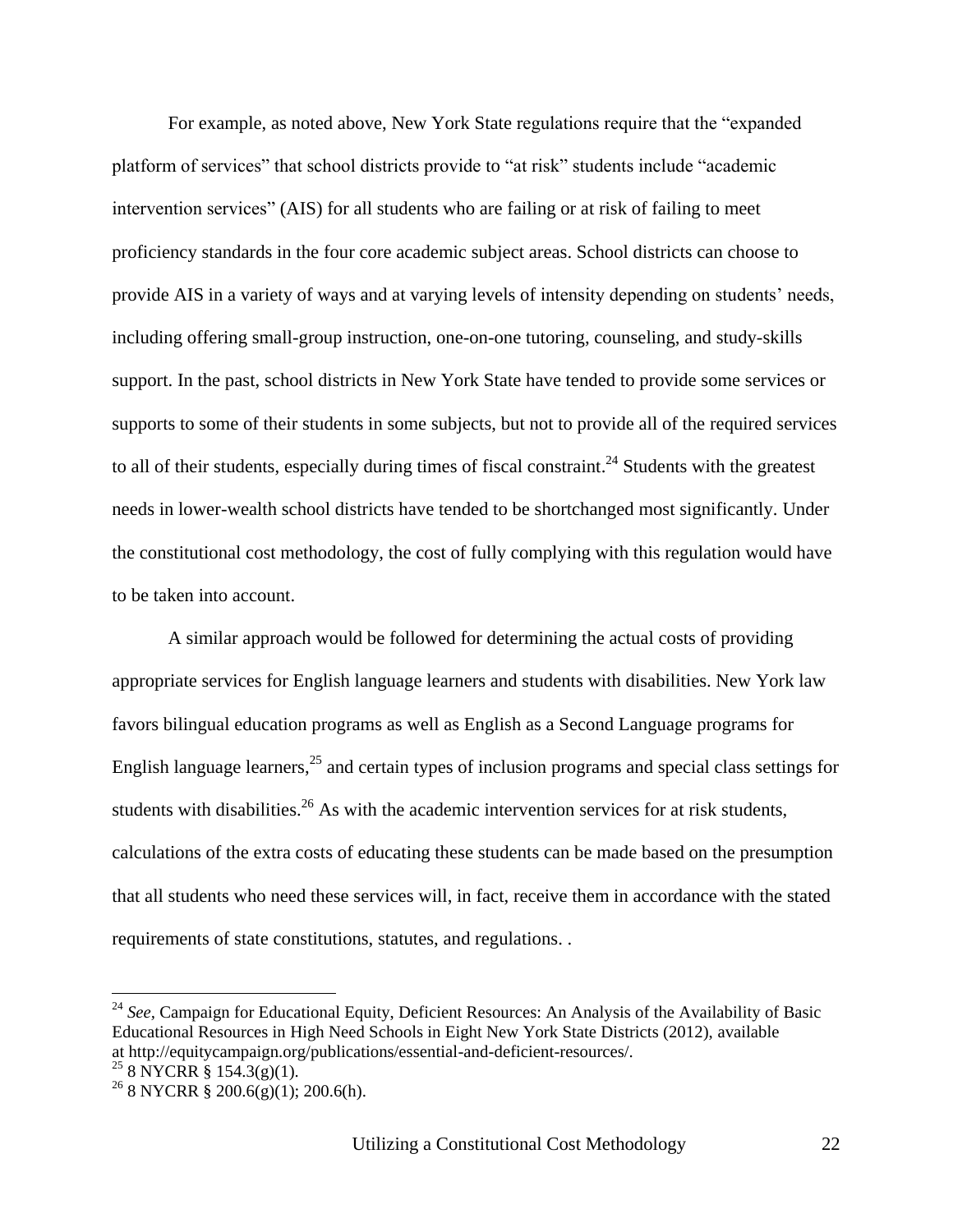For example, as noted above, New York State regulations require that the "expanded platform of services" that school districts provide to "at risk" students include "academic intervention services" (AIS) for all students who are failing or at risk of failing to meet proficiency standards in the four core academic subject areas. School districts can choose to provide AIS in a variety of ways and at varying levels of intensity depending on students' needs, including offering small-group instruction, one-on-one tutoring, counseling, and study-skills support. In the past, school districts in New York State have tended to provide some services or supports to some of their students in some subjects, but not to provide all of the required services to all of their students, especially during times of fiscal constraint. $^{24}$  Students with the greatest needs in lower-wealth school districts have tended to be shortchanged most significantly. Under the constitutional cost methodology, the cost of fully complying with this regulation would have to be taken into account.

A similar approach would be followed for determining the actual costs of providing appropriate services for English language learners and students with disabilities. New York law favors bilingual education programs as well as English as a Second Language programs for English language learners,<sup>25</sup> and certain types of inclusion programs and special class settings for students with disabilities.<sup>26</sup> As with the academic intervention services for at risk students, calculations of the extra costs of educating these students can be made based on the presumption that all students who need these services will, in fact, receive them in accordance with the stated requirements of state constitutions, statutes, and regulations. .

<sup>&</sup>lt;sup>24</sup> See, Campaign for Educational Equity, Deficient Resources: An Analysis of the Availability of Basic Educational Resources in High Need Schools in Eight New York State Districts (2012), available at http://equitycampaign.org/publications/essential-and-deficient-resources/.

 $258$  NYCRR § 154.3(g)(1).

 $^{26}$  8 NYCRR § 200.6(g)(1); 200.6(h).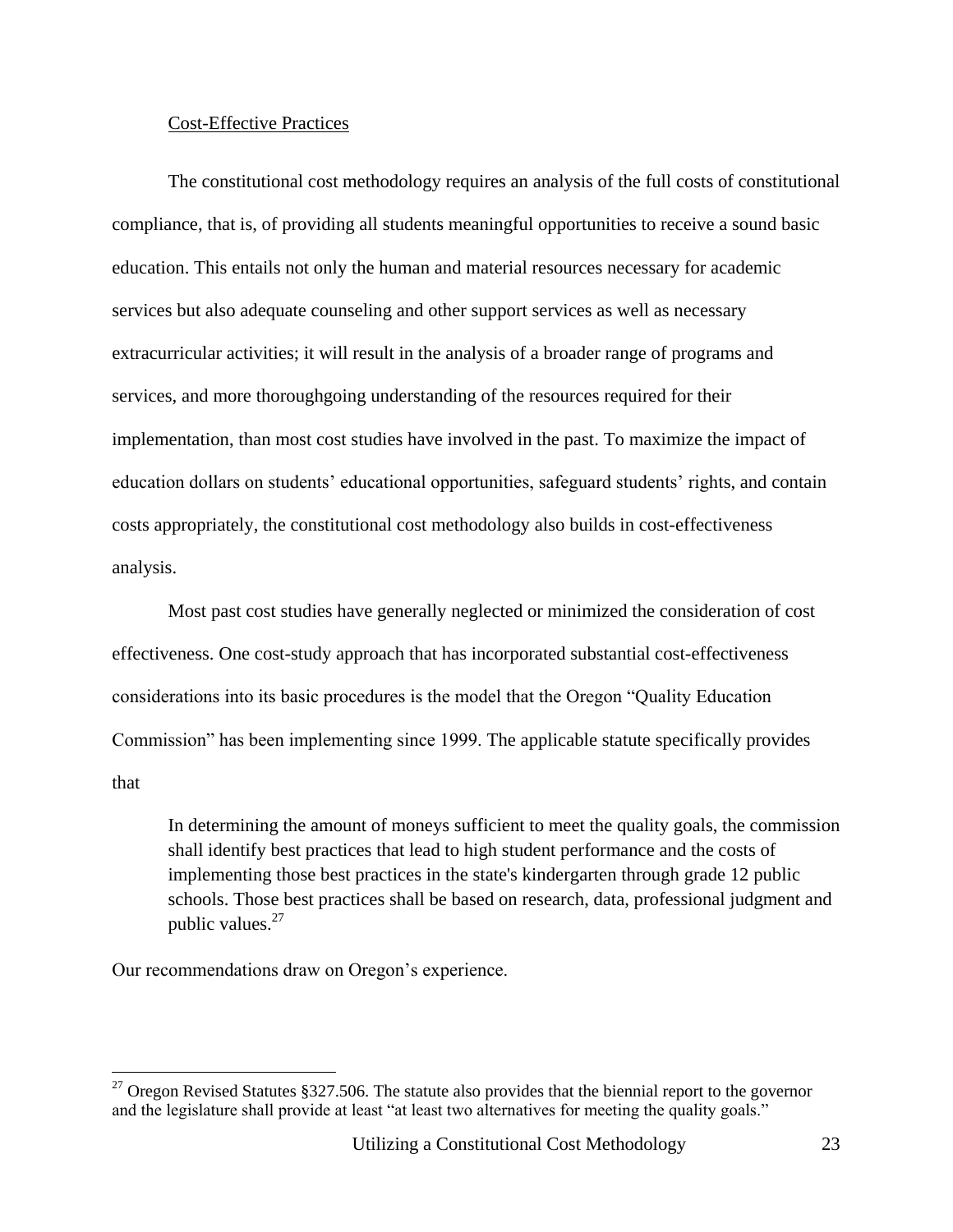#### Cost-Effective Practices

The constitutional cost methodology requires an analysis of the full costs of constitutional compliance, that is, of providing all students meaningful opportunities to receive a sound basic education. This entails not only the human and material resources necessary for academic services but also adequate counseling and other support services as well as necessary extracurricular activities; it will result in the analysis of a broader range of programs and services, and more thoroughgoing understanding of the resources required for their implementation, than most cost studies have involved in the past. To maximize the impact of education dollars on students' educational opportunities, safeguard students' rights, and contain costs appropriately, the constitutional cost methodology also builds in cost-effectiveness analysis.

Most past cost studies have generally neglected or minimized the consideration of cost effectiveness. One cost-study approach that has incorporated substantial cost-effectiveness considerations into its basic procedures is the model that the Oregon "Quality Education Commission" has been implementing since 1999. The applicable statute specifically provides that

In determining the amount of moneys sufficient to meet the quality goals, the commission shall identify best practices that lead to high student performance and the costs of implementing those best practices in the state's kindergarten through grade 12 public schools. Those best practices shall be based on research, data, professional judgment and public values. $27$ 

Our recommendations draw on Oregon's experience.

<sup>&</sup>lt;sup>27</sup> Oregon Revised Statutes §327.506. The statute also provides that the biennial report to the governor and the legislature shall provide at least "at least two alternatives for meeting the quality goals."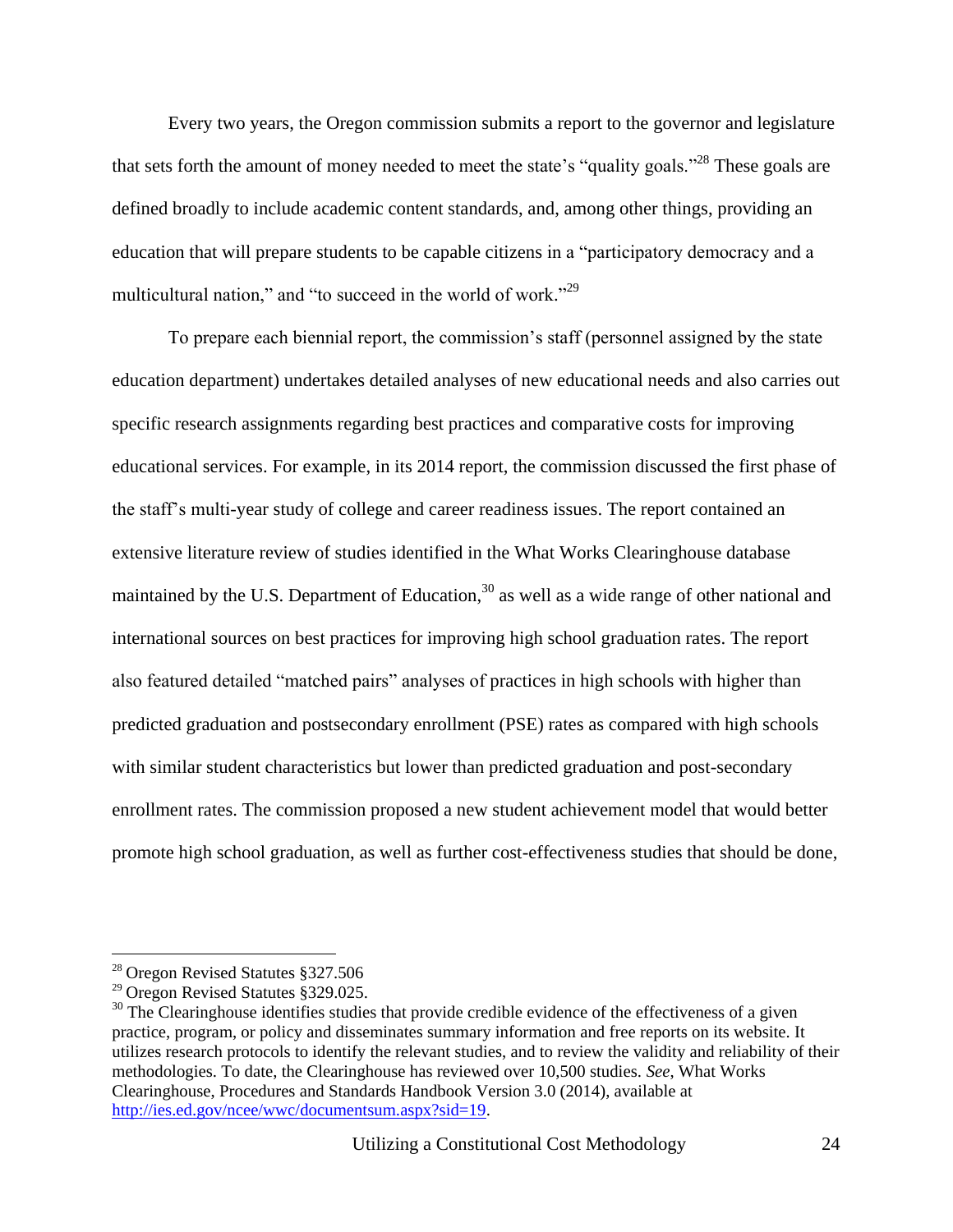Every two years, the Oregon commission submits a report to the governor and legislature that sets forth the amount of money needed to meet the state's "quality goals."<sup>28</sup> These goals are defined broadly to include academic content standards, and, among other things, providing an education that will prepare students to be capable citizens in a "participatory democracy and a multicultural nation," and "to succeed in the world of work."<sup>29</sup>

To prepare each biennial report, the commission's staff (personnel assigned by the state education department) undertakes detailed analyses of new educational needs and also carries out specific research assignments regarding best practices and comparative costs for improving educational services. For example, in its 2014 report, the commission discussed the first phase of the staff's multi-year study of college and career readiness issues. The report contained an extensive literature review of studies identified in the What Works Clearinghouse database maintained by the U.S. Department of Education,<sup>30</sup> as well as a wide range of other national and international sources on best practices for improving high school graduation rates. The report also featured detailed "matched pairs" analyses of practices in high schools with higher than predicted graduation and postsecondary enrollment (PSE) rates as compared with high schools with similar student characteristics but lower than predicted graduation and post-secondary enrollment rates. The commission proposed a new student achievement model that would better promote high school graduation, as well as further cost-effectiveness studies that should be done,

<sup>28</sup> Oregon Revised Statutes §327.506

<sup>&</sup>lt;sup>29</sup> Oregon Revised Statutes §329.025.

 $30$  The Clearinghouse identifies studies that provide credible evidence of the effectiveness of a given practice, program, or policy and disseminates summary information and free reports on its website. It utilizes research protocols to identify the relevant studies, and to review the validity and reliability of their methodologies. To date, the Clearinghouse has reviewed over 10,500 studies. *See*, What Works Clearinghouse, Procedures and Standards Handbook Version 3.0 (2014), available at [http://ies.ed.gov/ncee/wwc/documentsum.aspx?sid=19.](http://ies.ed.gov/ncee/wwc/documentsum.aspx?sid=19)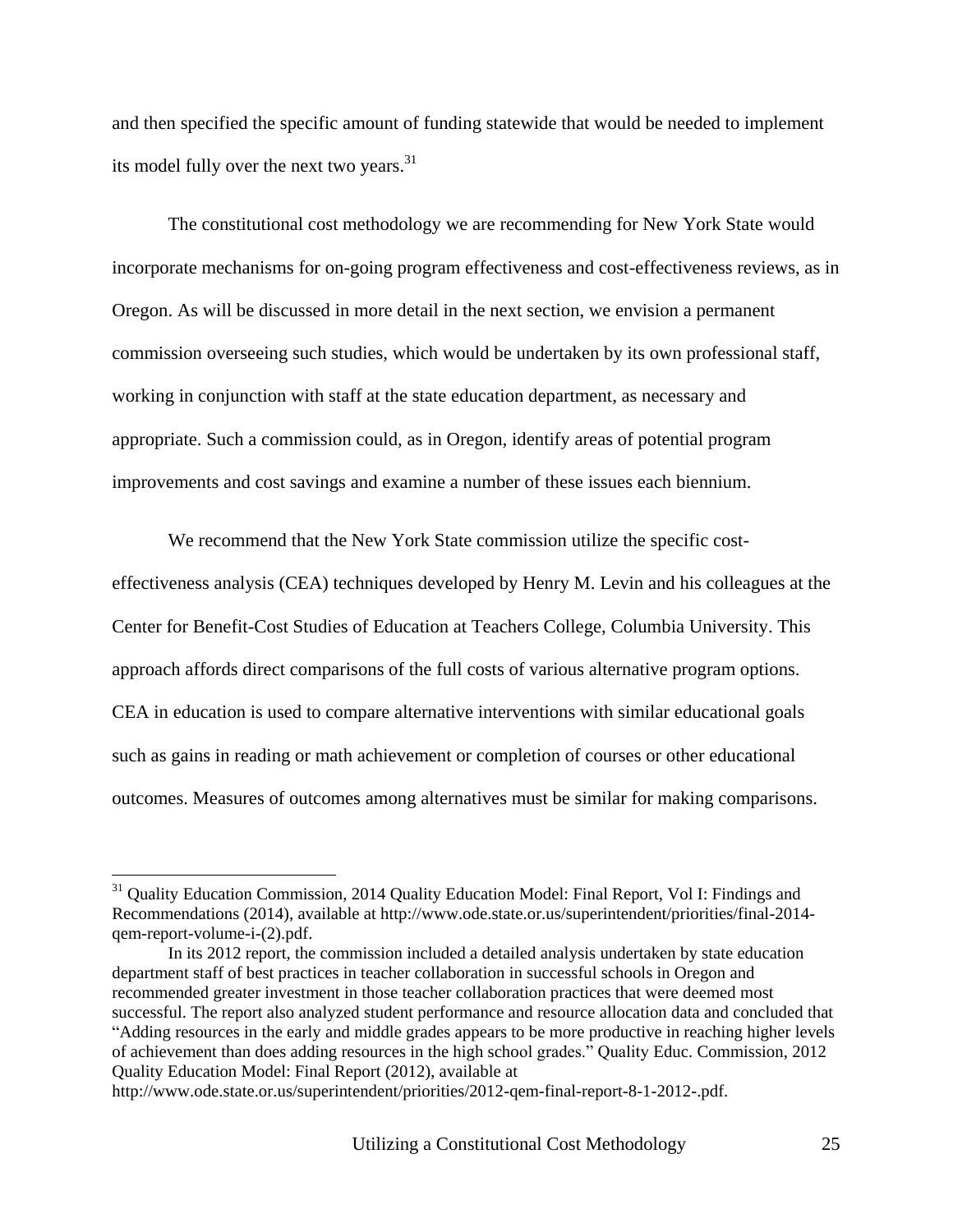and then specified the specific amount of funding statewide that would be needed to implement its model fully over the next two years.<sup>31</sup>

The constitutional cost methodology we are recommending for New York State would incorporate mechanisms for on-going program effectiveness and cost-effectiveness reviews, as in Oregon. As will be discussed in more detail in the next section, we envision a permanent commission overseeing such studies, which would be undertaken by its own professional staff, working in conjunction with staff at the state education department, as necessary and appropriate. Such a commission could, as in Oregon, identify areas of potential program improvements and cost savings and examine a number of these issues each biennium.

We recommend that the New York State commission utilize the specific cost-

effectiveness analysis (CEA) techniques developed by Henry M. Levin and his colleagues at the Center for Benefit-Cost Studies of Education at Teachers College, Columbia University. This approach affords direct comparisons of the full costs of various alternative program options. CEA in education is used to compare alternative interventions with similar educational goals such as gains in reading or math achievement or completion of courses or other educational outcomes. Measures of outcomes among alternatives must be similar for making comparisons.

<sup>&</sup>lt;sup>31</sup> Quality Education Commission, 2014 Quality Education Model: Final Report, Vol I: Findings and Recommendations (2014), available at [http://www.ode.state.or.us/superintendent/priorities/final-2014](http://www.ode.state.or.us/superintendent/priorities/final-2014-qem-report-volume-i-(2).pdf) [qem-report-volume-i-\(2\).pdf.](http://www.ode.state.or.us/superintendent/priorities/final-2014-qem-report-volume-i-(2).pdf)

In its 2012 report, the commission included a detailed analysis undertaken by state education department staff of best practices in teacher collaboration in successful schools in Oregon and recommended greater investment in those teacher collaboration practices that were deemed most successful. The report also analyzed student performance and resource allocation data and concluded that "Adding resources in the early and middle grades appears to be more productive in reaching higher levels of achievement than does adding resources in the high school grades." Quality Educ. Commission, 2012 Quality Education Model: Final Report (2012), available at

http://www.ode.state.or.us/superintendent/priorities/2012-qem-final-report-8-1-2012-.pdf.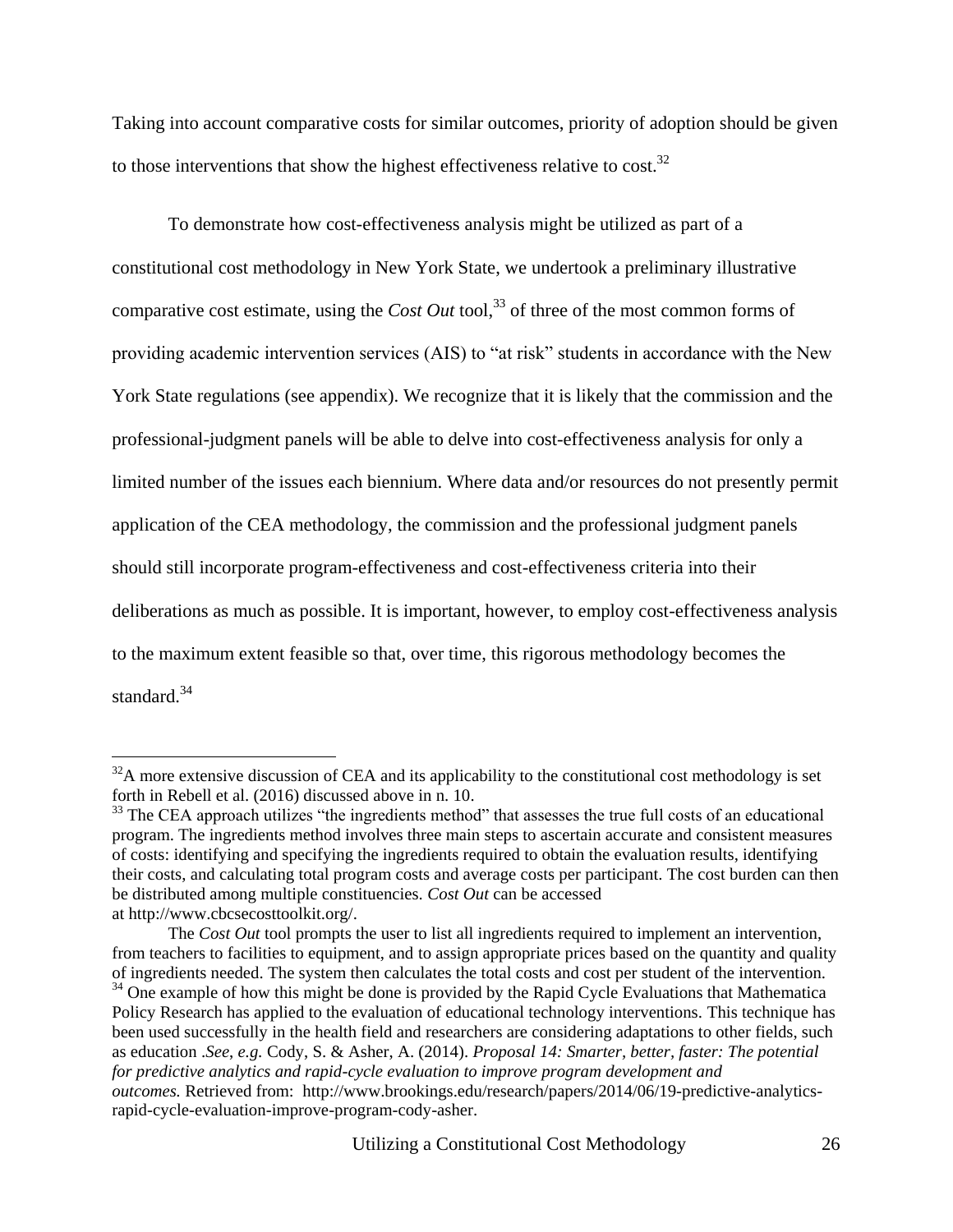Taking into account comparative costs for similar outcomes, priority of adoption should be given to those interventions that show the highest effectiveness relative to cost.<sup>32</sup>

To demonstrate how cost-effectiveness analysis might be utilized as part of a constitutional cost methodology in New York State, we undertook a preliminary illustrative comparative cost estimate, using the *Cost Out* tool,<sup>33</sup> of three of the most common forms of providing academic intervention services (AIS) to "at risk" students in accordance with the New York State regulations (see appendix). We recognize that it is likely that the commission and the professional-judgment panels will be able to delve into cost-effectiveness analysis for only a limited number of the issues each biennium. Where data and/or resources do not presently permit application of the CEA methodology, the commission and the professional judgment panels should still incorporate program-effectiveness and cost-effectiveness criteria into their deliberations as much as possible. It is important, however, to employ cost-effectiveness analysis to the maximum extent feasible so that, over time, this rigorous methodology becomes the standard.<sup>34</sup>

 $32A$  more extensive discussion of CEA and its applicability to the constitutional cost methodology is set forth in Rebell et al. (2016) discussed above in n. 10.

<sup>&</sup>lt;sup>33</sup> The CEA approach utilizes "the ingredients method" that assesses the true full costs of an educational program. The ingredients method involves three main steps to ascertain accurate and consistent measures of costs: identifying and specifying the ingredients required to obtain the evaluation results, identifying their costs, and calculating total program costs and average costs per participant. The cost burden can then be distributed among multiple constituencies. *Cost Out* can be accessed at [http://www.cbcsecosttoolkit.org/.](http://www.cbcsecosttoolkit.org/)

The *Cost Out* tool prompts the user to list all ingredients required to implement an intervention, from teachers to facilities to equipment, and to assign appropriate prices based on the quantity and quality of ingredients needed. The system then calculates the total costs and cost per student of the intervention. <sup>34</sup> One example of how this might be done is provided by the Rapid Cycle Evaluations that Mathematica Policy Research has applied to the evaluation of educational technology interventions. This technique has been used successfully in the health field and researchers are considering adaptations to other fields, such as education .*See*, *e.g.* Cody, S. & Asher, A. (2014). *Proposal 14: Smarter, better, faster: The potential for predictive analytics and rapid-cycle evaluation to improve program development and outcomes.* Retrieved from: [http://www.brookings.edu/research/papers/2014/06/19-predictive-analytics](http://www.brookings.edu/research/papers/2014/06/19-predictive-analytics-rapid-cycle-evaluation-improve-program-cody-asher)[rapid-cycle-evaluation-improve-program-cody-asher.](http://www.brookings.edu/research/papers/2014/06/19-predictive-analytics-rapid-cycle-evaluation-improve-program-cody-asher)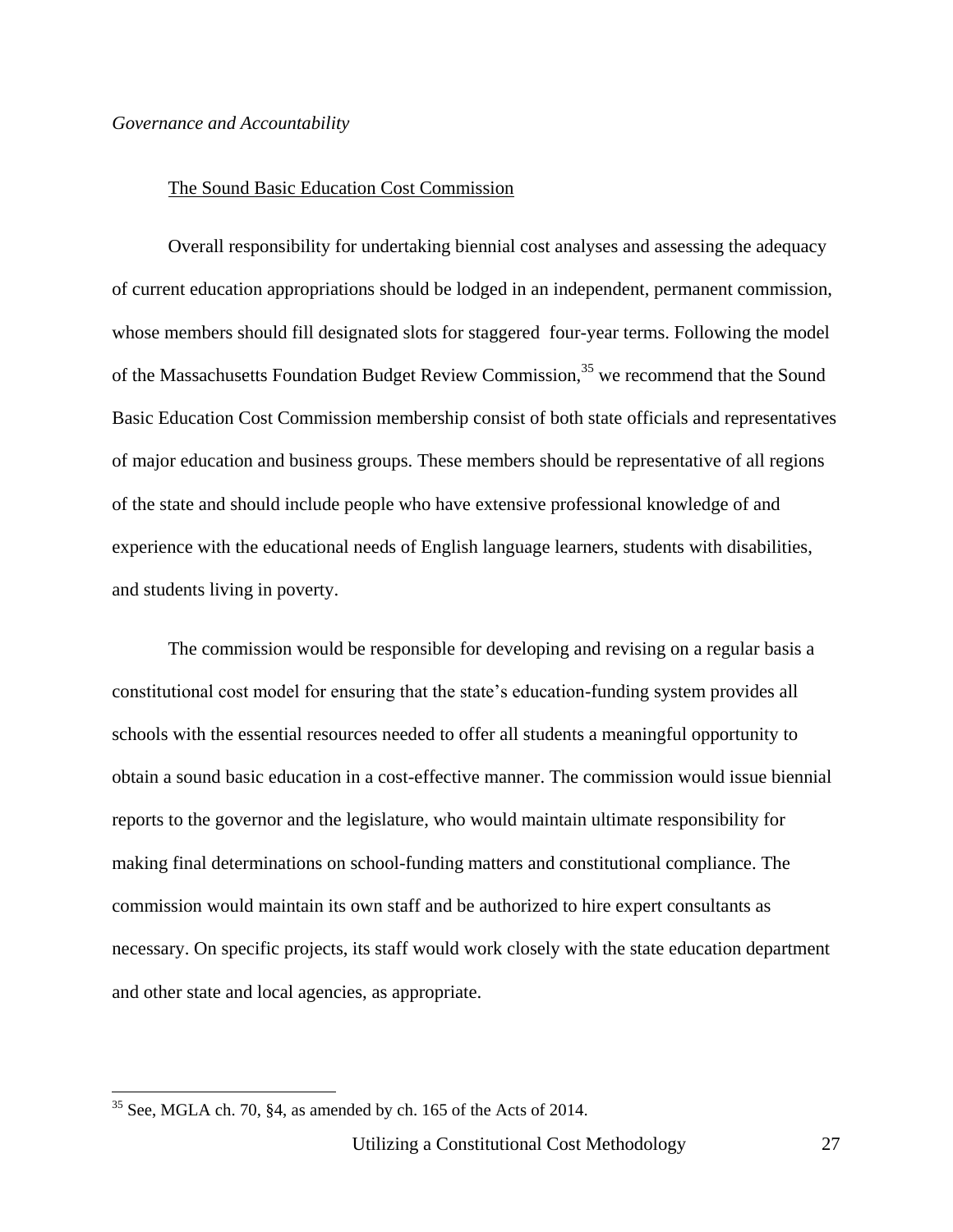#### *Governance and Accountability*

#### The Sound Basic Education Cost Commission

Overall responsibility for undertaking biennial cost analyses and assessing the adequacy of current education appropriations should be lodged in an independent, permanent commission, whose members should fill designated slots for staggered four-year terms. Following the model of the Massachusetts Foundation Budget Review Commission,<sup>35</sup> we recommend that the Sound Basic Education Cost Commission membership consist of both state officials and representatives of major education and business groups. These members should be representative of all regions of the state and should include people who have extensive professional knowledge of and experience with the educational needs of English language learners, students with disabilities, and students living in poverty.

The commission would be responsible for developing and revising on a regular basis a constitutional cost model for ensuring that the state's education-funding system provides all schools with the essential resources needed to offer all students a meaningful opportunity to obtain a sound basic education in a cost-effective manner. The commission would issue biennial reports to the governor and the legislature, who would maintain ultimate responsibility for making final determinations on school-funding matters and constitutional compliance. The commission would maintain its own staff and be authorized to hire expert consultants as necessary. On specific projects, its staff would work closely with the state education department and other state and local agencies, as appropriate.

 $35$  See, MGLA ch. 70, §4, as amended by ch. 165 of the Acts of 2014.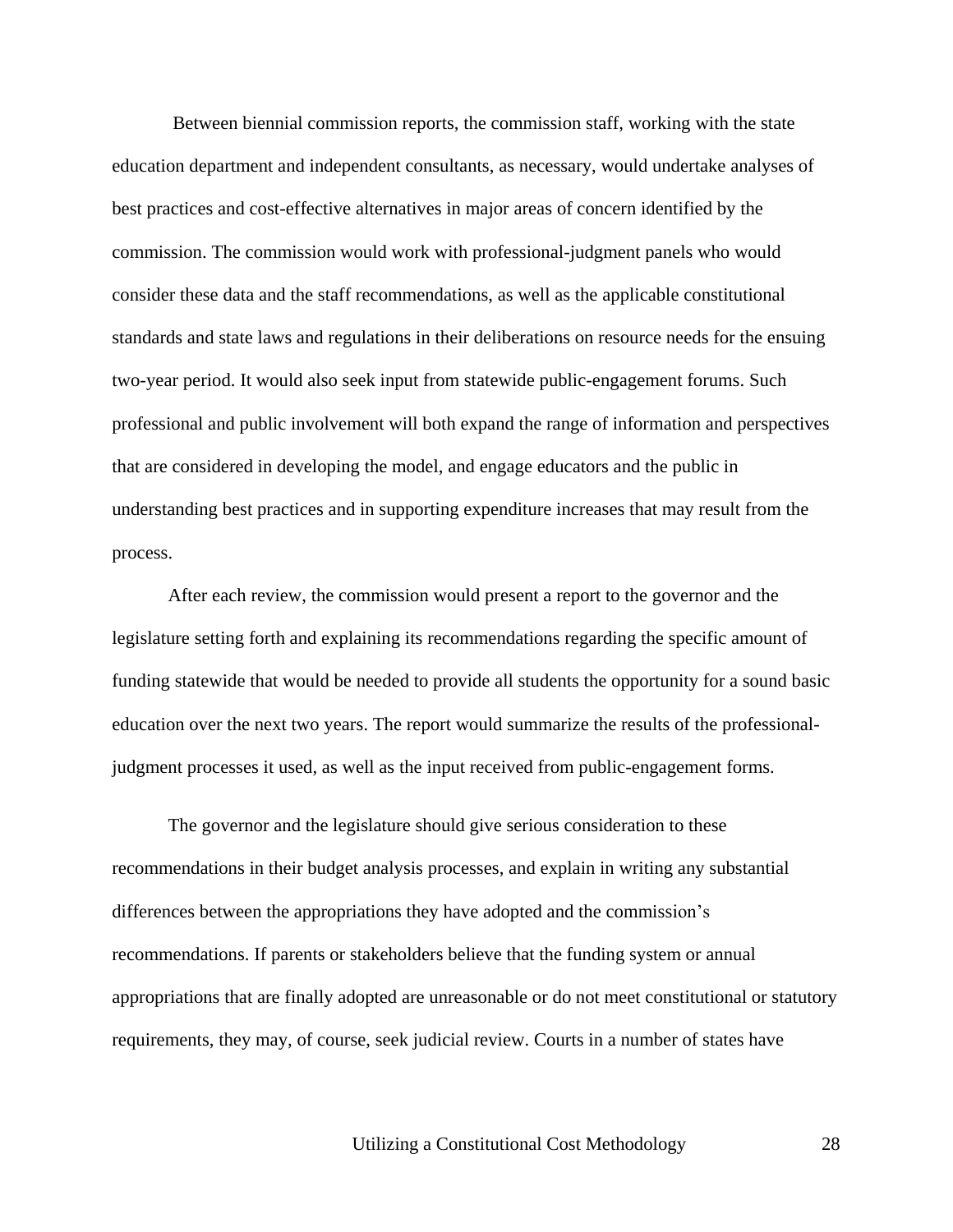Between biennial commission reports, the commission staff, working with the state education department and independent consultants, as necessary, would undertake analyses of best practices and cost-effective alternatives in major areas of concern identified by the commission. The commission would work with professional-judgment panels who would consider these data and the staff recommendations, as well as the applicable constitutional standards and state laws and regulations in their deliberations on resource needs for the ensuing two-year period. It would also seek input from statewide public-engagement forums. Such professional and public involvement will both expand the range of information and perspectives that are considered in developing the model, and engage educators and the public in understanding best practices and in supporting expenditure increases that may result from the process.

After each review, the commission would present a report to the governor and the legislature setting forth and explaining its recommendations regarding the specific amount of funding statewide that would be needed to provide all students the opportunity for a sound basic education over the next two years. The report would summarize the results of the professionaljudgment processes it used, as well as the input received from public-engagement forms.

The governor and the legislature should give serious consideration to these recommendations in their budget analysis processes, and explain in writing any substantial differences between the appropriations they have adopted and the commission's recommendations. If parents or stakeholders believe that the funding system or annual appropriations that are finally adopted are unreasonable or do not meet constitutional or statutory requirements, they may, of course, seek judicial review. Courts in a number of states have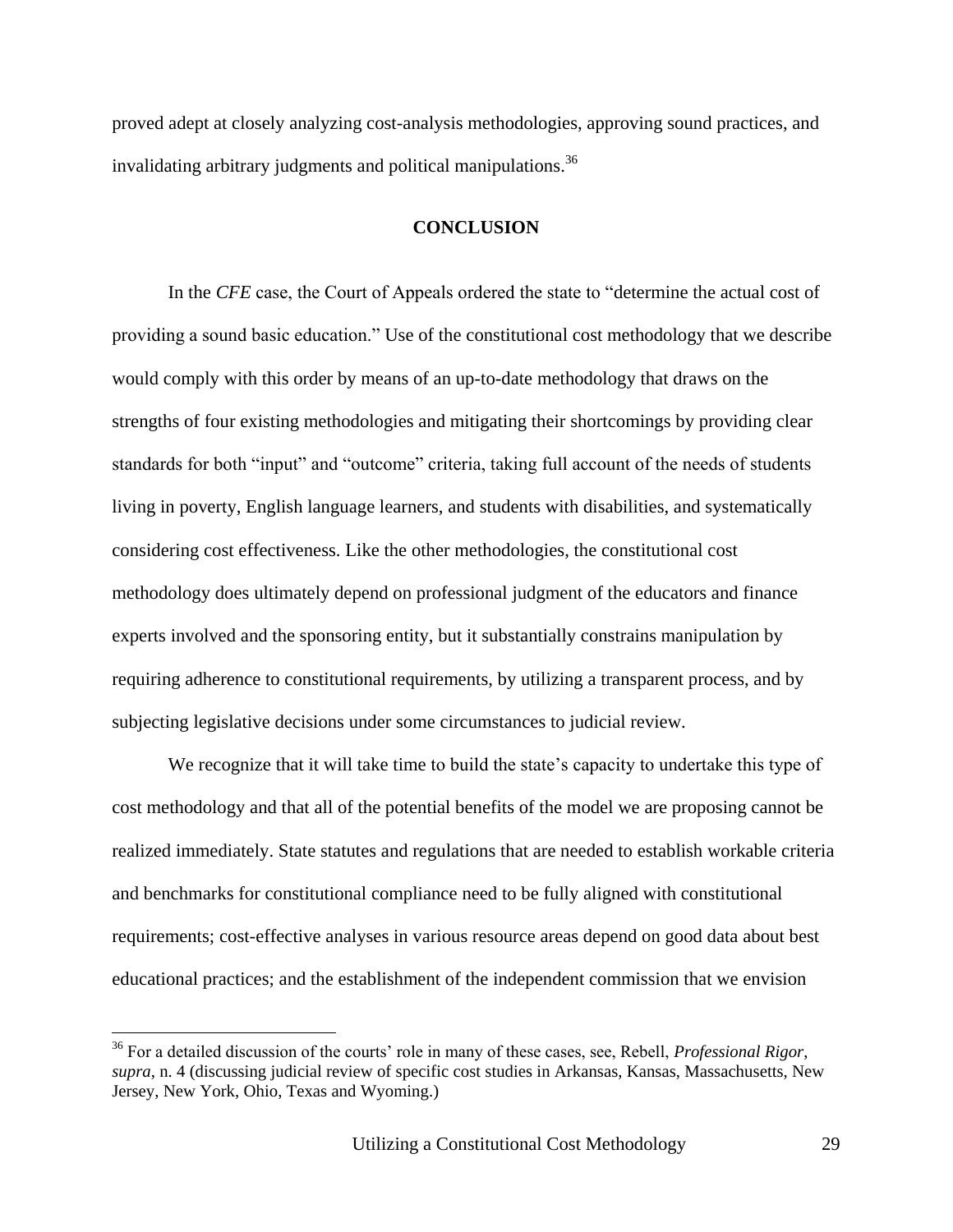proved adept at closely analyzing cost-analysis methodologies, approving sound practices, and invalidating arbitrary judgments and political manipulations.<sup>36</sup>

#### **CONCLUSION**

In the *CFE* case, the Court of Appeals ordered the state to "determine the actual cost of providing a sound basic education." Use of the constitutional cost methodology that we describe would comply with this order by means of an up-to-date methodology that draws on the strengths of four existing methodologies and mitigating their shortcomings by providing clear standards for both "input" and "outcome" criteria, taking full account of the needs of students living in poverty, English language learners, and students with disabilities, and systematically considering cost effectiveness. Like the other methodologies, the constitutional cost methodology does ultimately depend on professional judgment of the educators and finance experts involved and the sponsoring entity, but it substantially constrains manipulation by requiring adherence to constitutional requirements, by utilizing a transparent process, and by subjecting legislative decisions under some circumstances to judicial review.

We recognize that it will take time to build the state's capacity to undertake this type of cost methodology and that all of the potential benefits of the model we are proposing cannot be realized immediately. State statutes and regulations that are needed to establish workable criteria and benchmarks for constitutional compliance need to be fully aligned with constitutional requirements; cost-effective analyses in various resource areas depend on good data about best educational practices; and the establishment of the independent commission that we envision

<sup>36</sup> For a detailed discussion of the courts' role in many of these cases, see, Rebell, *Professional Rigor*, *supra*, n. 4 (discussing judicial review of specific cost studies in Arkansas, Kansas, Massachusetts, New Jersey, New York, Ohio, Texas and Wyoming.)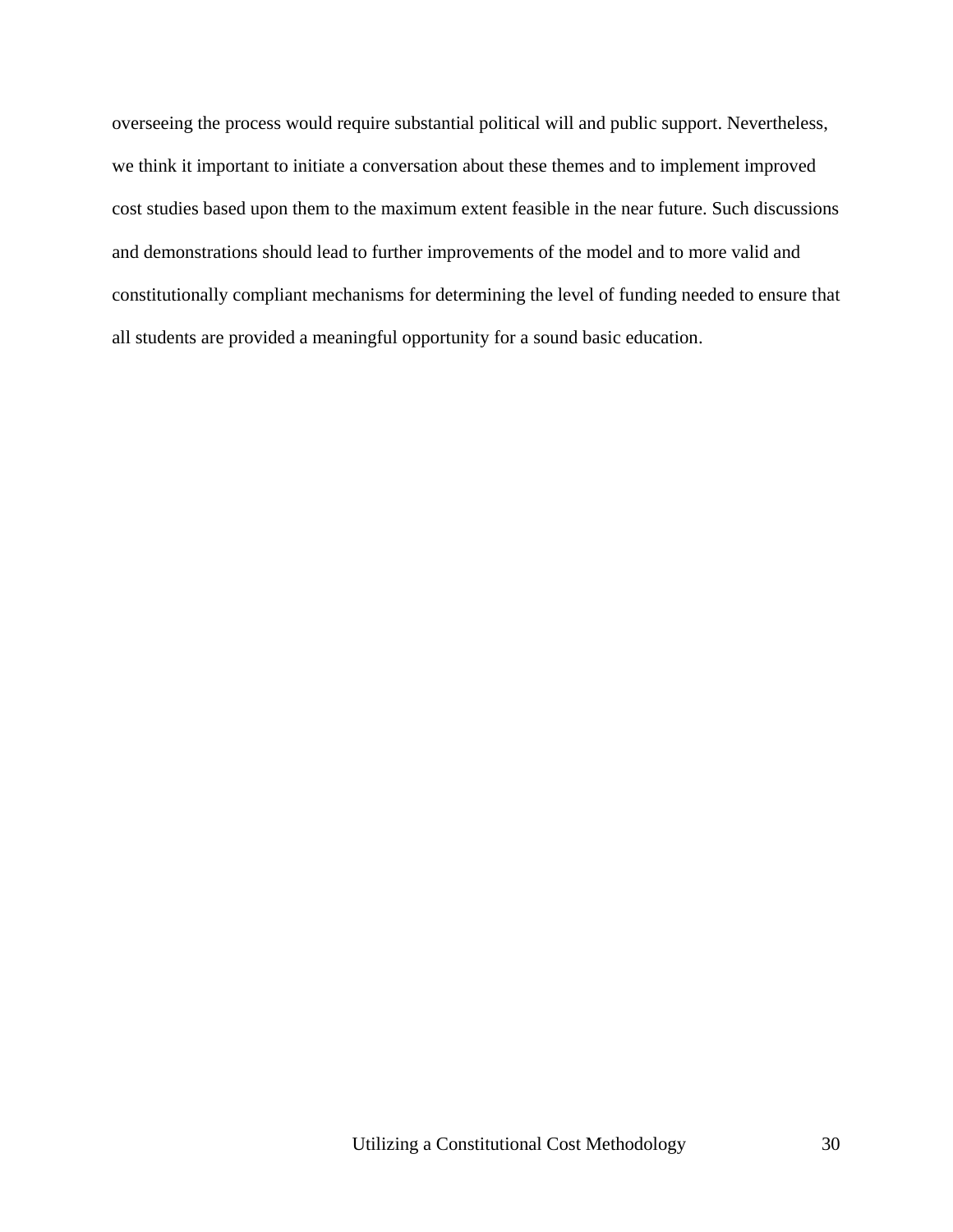overseeing the process would require substantial political will and public support. Nevertheless, we think it important to initiate a conversation about these themes and to implement improved cost studies based upon them to the maximum extent feasible in the near future. Such discussions and demonstrations should lead to further improvements of the model and to more valid and constitutionally compliant mechanisms for determining the level of funding needed to ensure that all students are provided a meaningful opportunity for a sound basic education.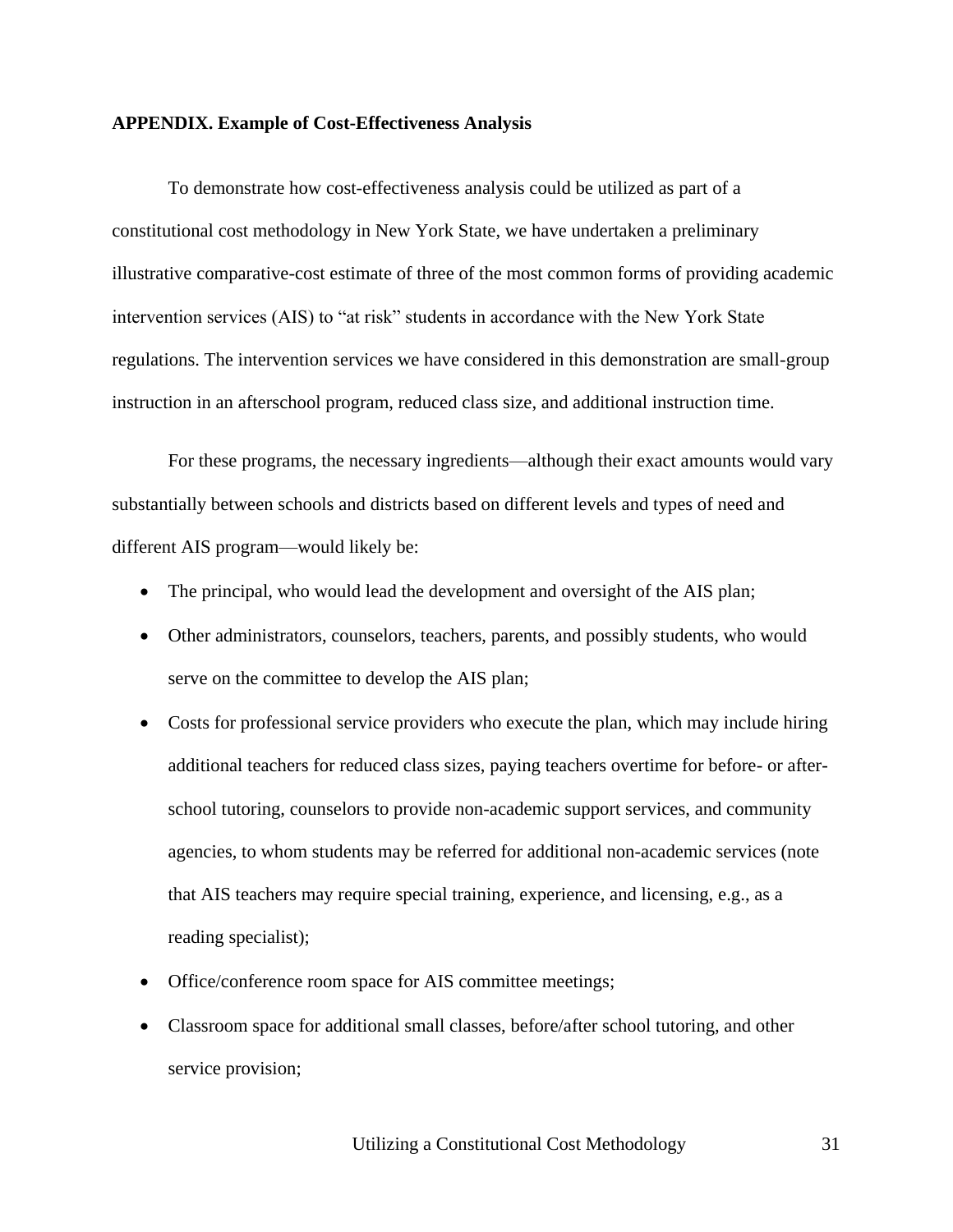#### **APPENDIX. Example of Cost-Effectiveness Analysis**

To demonstrate how cost-effectiveness analysis could be utilized as part of a constitutional cost methodology in New York State, we have undertaken a preliminary illustrative comparative-cost estimate of three of the most common forms of providing academic intervention services (AIS) to "at risk" students in accordance with the New York State regulations. The intervention services we have considered in this demonstration are small-group instruction in an afterschool program, reduced class size, and additional instruction time.

For these programs, the necessary ingredients—although their exact amounts would vary substantially between schools and districts based on different levels and types of need and different AIS program—would likely be:

- The principal, who would lead the development and oversight of the AIS plan;
- Other administrators, counselors, teachers, parents, and possibly students, who would serve on the committee to develop the AIS plan;
- Costs for professional service providers who execute the plan, which may include hiring additional teachers for reduced class sizes, paying teachers overtime for before- or afterschool tutoring, counselors to provide non-academic support services, and community agencies, to whom students may be referred for additional non-academic services (note that AIS teachers may require special training, experience, and licensing, e.g., as a reading specialist);
- Office/conference room space for AIS committee meetings;
- Classroom space for additional small classes, before/after school tutoring, and other service provision;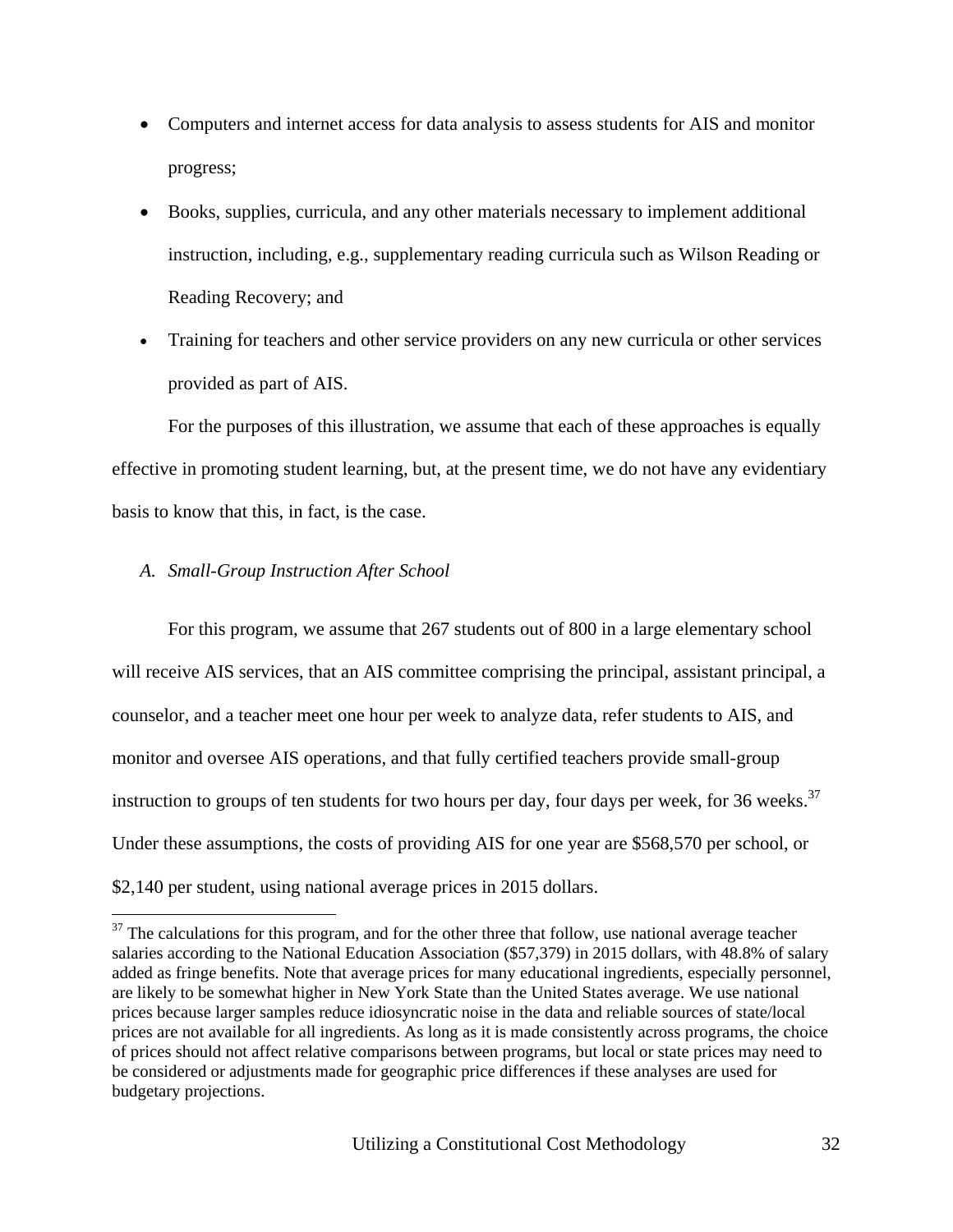- Computers and internet access for data analysis to assess students for AIS and monitor progress;
- Books, supplies, curricula, and any other materials necessary to implement additional instruction, including, e.g., supplementary reading curricula such as Wilson Reading or Reading Recovery; and
- Training for teachers and other service providers on any new curricula or other services provided as part of AIS.

For the purposes of this illustration, we assume that each of these approaches is equally effective in promoting student learning, but, at the present time, we do not have any evidentiary basis to know that this, in fact, is the case.

### *A. Small-Group Instruction After School*

 $\overline{a}$ 

For this program, we assume that 267 students out of 800 in a large elementary school will receive AIS services, that an AIS committee comprising the principal, assistant principal, a counselor, and a teacher meet one hour per week to analyze data, refer students to AIS, and monitor and oversee AIS operations, and that fully certified teachers provide small-group instruction to groups of ten students for two hours per day, four days per week, for 36 weeks.<sup>37</sup> Under these assumptions, the costs of providing AIS for one year are \$568,570 per school, or \$2,140 per student, using national average prices in 2015 dollars.

<sup>&</sup>lt;sup>37</sup> The calculations for this program, and for the other three that follow, use national average teacher salaries according to the National Education Association (\$57,379) in 2015 dollars, with 48.8% of salary added as fringe benefits. Note that average prices for many educational ingredients, especially personnel, are likely to be somewhat higher in New York State than the United States average. We use national prices because larger samples reduce idiosyncratic noise in the data and reliable sources of state/local prices are not available for all ingredients. As long as it is made consistently across programs, the choice of prices should not affect relative comparisons between programs, but local or state prices may need to be considered or adjustments made for geographic price differences if these analyses are used for budgetary projections.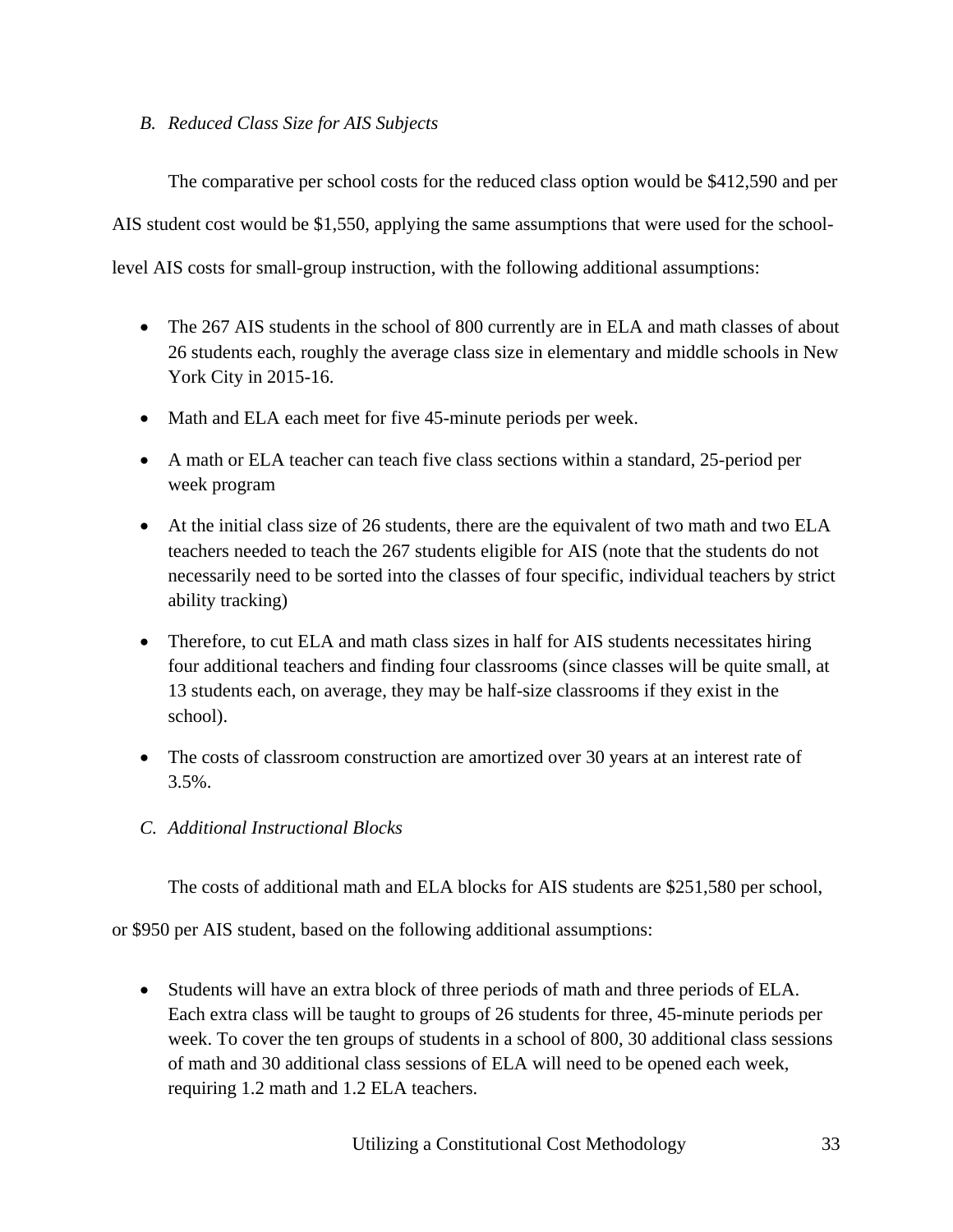*B. Reduced Class Size for AIS Subjects*

The comparative per school costs for the reduced class option would be \$412,590 and per

AIS student cost would be \$1,550, applying the same assumptions that were used for the school-

level AIS costs for small-group instruction, with the following additional assumptions:

- The 267 AIS students in the school of 800 currently are in ELA and math classes of about 26 students each, roughly the average class size in elementary and middle schools in New York City in 2015-16.
- Math and ELA each meet for five 45-minute periods per week.
- A math or ELA teacher can teach five class sections within a standard, 25-period per week program
- At the initial class size of 26 students, there are the equivalent of two math and two ELA teachers needed to teach the 267 students eligible for AIS (note that the students do not necessarily need to be sorted into the classes of four specific, individual teachers by strict ability tracking)
- Therefore, to cut ELA and math class sizes in half for AIS students necessitates hiring four additional teachers and finding four classrooms (since classes will be quite small, at 13 students each, on average, they may be half-size classrooms if they exist in the school).
- The costs of classroom construction are amortized over 30 years at an interest rate of 3.5%.
- *C. Additional Instructional Blocks*

The costs of additional math and ELA blocks for AIS students are \$251,580 per school,

or \$950 per AIS student, based on the following additional assumptions:

 Students will have an extra block of three periods of math and three periods of ELA. Each extra class will be taught to groups of 26 students for three, 45-minute periods per week. To cover the ten groups of students in a school of 800, 30 additional class sessions of math and 30 additional class sessions of ELA will need to be opened each week, requiring 1.2 math and 1.2 ELA teachers.